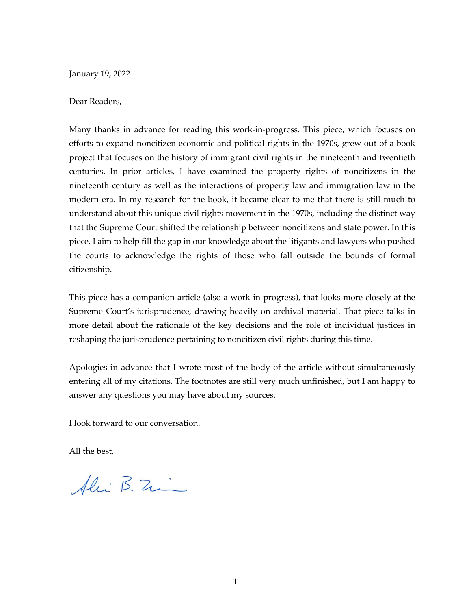January 19, 2022

## Dear Readers,

Many thanks in advance for reading this work-in-progress. This piece, which focuses on efforts to expand noncitizen economic and political rights in the 1970s, grew out of a book project that focuses on the history of immigrant civil rights in the nineteenth and twentieth centuries. In prior articles, I have examined the property rights of noncitizens in the nineteenth century as well as the interactions of property law and immigration law in the modern era. In my research for the book, it became clear to me that there is still much to understand about this unique civil rights movement in the 1970s, including the distinct way that the Supreme Court shifted the relationship between noncitizens and state power. In this piece, I aim to help fill the gap in our knowledge about the litigants and lawyers who pushed the courts to acknowledge the rights of those who fall outside the bounds of formal citizenship.

This piece has a companion article (also a work-in-progress), that looks more closely at the Supreme Court's jurisprudence, drawing heavily on archival material. That piece talks in more detail about the rationale of the key decisions and the role of individual justices in reshaping the jurisprudence pertaining to noncitizen civil rights during this time.

Apologies in advance that I wrote most of the body of the article without simultaneously entering all of my citations. The footnotes are still very much unfinished, but I am happy to answer any questions you may have about my sources.

I look forward to our conversation.

All the best,

Alii B. Zi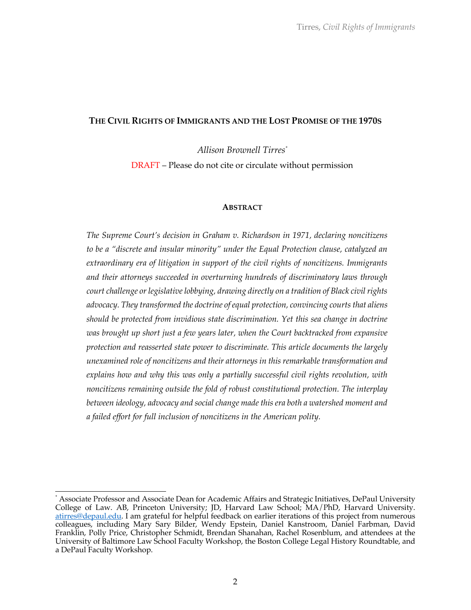### **THE CIVIL RIGHTS OF IMMIGRANTS AND THE LOST PROMISE OF THE 1970S**

*Allison Brownell Tirres\**

DRAFT – Please do not cite or circulate without permission

#### **ABSTRACT**

*The Supreme Court's decision in Graham v. Richardson in 1971, declaring noncitizens to be a "discrete and insular minority" under the Equal Protection clause, catalyzed an extraordinary era of litigation in support of the civil rights of noncitizens. Immigrants and their attorneys succeeded in overturning hundreds of discriminatory laws through court challenge or legislative lobbying, drawing directly on a tradition of Black civil rights advocacy. They transformed the doctrine of equal protection, convincing courts that aliens should be protected from invidious state discrimination. Yet this sea change in doctrine was brought up short just a few years later, when the Court backtracked from expansive protection and reasserted state power to discriminate. This article documents the largely unexamined role of noncitizens and their attorneys in this remarkable transformation and explains how and why this was only a partially successful civil rights revolution, with noncitizens remaining outside the fold of robust constitutional protection. The interplay between ideology, advocacy and social change made this era both a watershed moment and a failed effort for full inclusion of noncitizens in the American polity.*

<sup>\*</sup> Associate Professor and Associate Dean for Academic Affairs and Strategic Initiatives, DePaul University College of Law. AB, Princeton University; JD, Harvard Law School; MA/PhD, Harvard University. atirres@depaul.edu. I am grateful for helpful feedback on earlier iterations of this project from numerous colleagues, including Mary Sary Bilder, Wendy Epstein, Daniel Kanstroom, Daniel Farbman, David Franklin, Polly Price, Christopher Schmidt, Brendan Shanahan, Rachel Rosenblum, and attendees at the University of Baltimore Law School Faculty Workshop, the Boston College Legal History Roundtable, and a DePaul Faculty Workshop.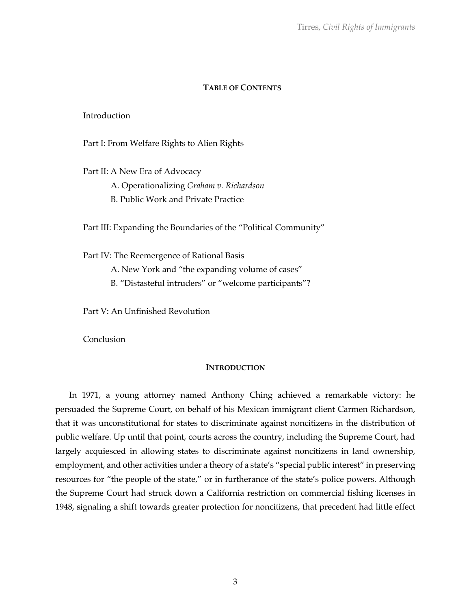# **TABLE OF CONTENTS**

## Introduction

Part I: From Welfare Rights to Alien Rights

Part II: A New Era of Advocacy A. Operationalizing *Graham v. Richardson* B. Public Work and Private Practice

Part III: Expanding the Boundaries of the "Political Community"

Part IV: The Reemergence of Rational Basis A. New York and "the expanding volume of cases" B. "Distasteful intruders" or "welcome participants"?

Part V: An Unfinished Revolution

**Conclusion** 

### **INTRODUCTION**

In 1971, a young attorney named Anthony Ching achieved a remarkable victory: he persuaded the Supreme Court, on behalf of his Mexican immigrant client Carmen Richardson, that it was unconstitutional for states to discriminate against noncitizens in the distribution of public welfare. Up until that point, courts across the country, including the Supreme Court, had largely acquiesced in allowing states to discriminate against noncitizens in land ownership, employment, and other activities under a theory of a state's "special public interest" in preserving resources for "the people of the state," or in furtherance of the state's police powers. Although the Supreme Court had struck down a California restriction on commercial fishing licenses in 1948, signaling a shift towards greater protection for noncitizens, that precedent had little effect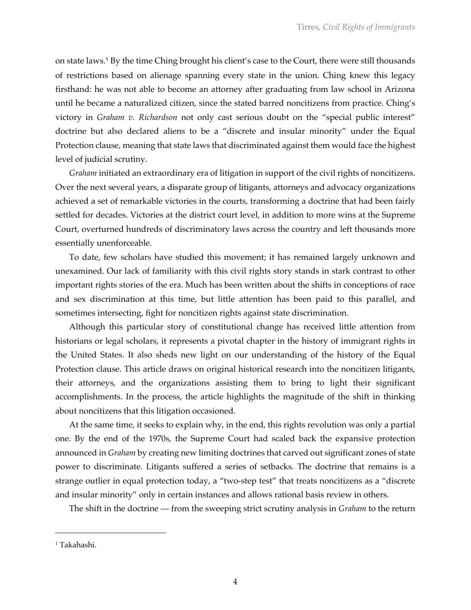on state laws.<sup>1</sup> By the time Ching brought his client's case to the Court, there were still thousands of restrictions based on alienage spanning every state in the union. Ching knew this legacy firsthand: he was not able to become an attorney after graduating from law school in Arizona until he became a naturalized citizen, since the stated barred noncitizens from practice. Ching's victory in *Graham v. Richardson* not only cast serious doubt on the "special public interest" doctrine but also declared aliens to be a "discrete and insular minority" under the Equal Protection clause, meaning that state laws that discriminated against them would face the highest level of judicial scrutiny.

*Graham* initiated an extraordinary era of litigation in support of the civil rights of noncitizens. Over the next several years, a disparate group of litigants, attorneys and advocacy organizations achieved a set of remarkable victories in the courts, transforming a doctrine that had been fairly settled for decades. Victories at the district court level, in addition to more wins at the Supreme Court, overturned hundreds of discriminatory laws across the country and left thousands more essentially unenforceable.

To date, few scholars have studied this movement; it has remained largely unknown and unexamined. Our lack of familiarity with this civil rights story stands in stark contrast to other important rights stories of the era. Much has been written about the shifts in conceptions of race and sex discrimination at this time, but little attention has been paid to this parallel, and sometimes intersecting, fight for noncitizen rights against state discrimination.

Although this particular story of constitutional change has received little attention from historians or legal scholars, it represents a pivotal chapter in the history of immigrant rights in the United States. It also sheds new light on our understanding of the history of the Equal Protection clause. This article draws on original historical research into the noncitizen litigants, their attorneys, and the organizations assisting them to bring to light their significant accomplishments. In the process, the article highlights the magnitude of the shift in thinking about noncitizens that this litigation occasioned.

At the same time, it seeks to explain why, in the end, this rights revolution was only a partial one. By the end of the 1970s, the Supreme Court had scaled back the expansive protection announced in *Graham* by creating new limiting doctrines that carved out significant zones of state power to discriminate. Litigants suffered a series of setbacks. The doctrine that remains is a strange outlier in equal protection today, a "two-step test" that treats noncitizens as a "discrete and insular minority" only in certain instances and allows rational basis review in others.

The shift in the doctrine — from the sweeping strict scrutiny analysis in *Graham* to the return

<sup>1</sup> Takahashi.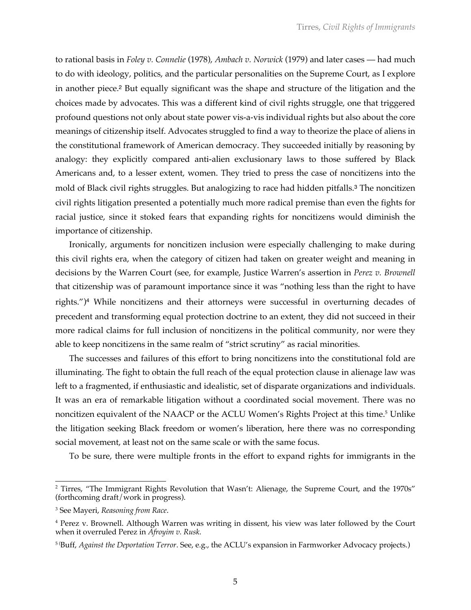to rational basis in *Foley v. Connelie* (1978), *Ambach v. Norwick* (1979) and later cases — had much to do with ideology, politics, and the particular personalities on the Supreme Court, as I explore in another piece.<sup>2</sup> But equally significant was the shape and structure of the litigation and the choices made by advocates. This was a different kind of civil rights struggle, one that triggered profound questions not only about state power vis-a-vis individual rights but also about the core meanings of citizenship itself. Advocates struggled to find a way to theorize the place of aliens in the constitutional framework of American democracy. They succeeded initially by reasoning by analogy: they explicitly compared anti-alien exclusionary laws to those suffered by Black Americans and, to a lesser extent, women. They tried to press the case of noncitizens into the mold of Black civil rights struggles. But analogizing to race had hidden pitfalls.<sup>3</sup> The noncitizen civil rights litigation presented a potentially much more radical premise than even the fights for racial justice, since it stoked fears that expanding rights for noncitizens would diminish the importance of citizenship.

Ironically, arguments for noncitizen inclusion were especially challenging to make during this civil rights era, when the category of citizen had taken on greater weight and meaning in decisions by the Warren Court (see, for example, Justice Warren's assertion in *Perez v. Brownell* that citizenship was of paramount importance since it was "nothing less than the right to have rights.")<sup>4</sup> While noncitizens and their attorneys were successful in overturning decades of precedent and transforming equal protection doctrine to an extent, they did not succeed in their more radical claims for full inclusion of noncitizens in the political community, nor were they able to keep noncitizens in the same realm of "strict scrutiny" as racial minorities.

The successes and failures of this effort to bring noncitizens into the constitutional fold are illuminating. The fight to obtain the full reach of the equal protection clause in alienage law was left to a fragmented, if enthusiastic and idealistic, set of disparate organizations and individuals. It was an era of remarkable litigation without a coordinated social movement. There was no noncitizen equivalent of the NAACP or the ACLU Women's Rights Project at this time.<sup>5</sup> Unlike the litigation seeking Black freedom or women's liberation, here there was no corresponding social movement, at least not on the same scale or with the same focus.

To be sure, there were multiple fronts in the effort to expand rights for immigrants in the

<sup>&</sup>lt;sup>2</sup> Tirres, "The Immigrant Rights Revolution that Wasn't: Alienage, the Supreme Court, and the 1970s" (forthcoming draft/work in progress).

<sup>3</sup> See Mayeri, *Reasoning from Race*.

<sup>4</sup> Perez v. Brownell. Although Warren was writing in dissent, his view was later followed by the Court when it overruled Perez in *Afroyim v. Rusk*.

<sup>5</sup> ( Buff, *Against the Deportation Terror*. See, e.g., the ACLU's expansion in Farmworker Advocacy projects.)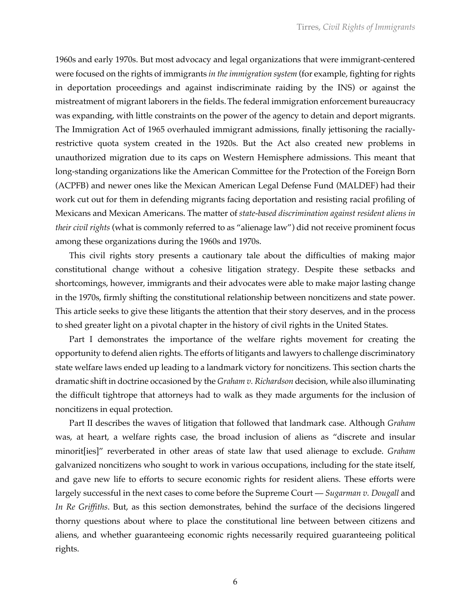1960s and early 1970s. But most advocacy and legal organizations that were immigrant-centered were focused on the rights of immigrants *in the immigration system* (for example, fighting for rights in deportation proceedings and against indiscriminate raiding by the INS) or against the mistreatment of migrant laborers in the fields.The federal immigration enforcement bureaucracy was expanding, with little constraints on the power of the agency to detain and deport migrants. The Immigration Act of 1965 overhauled immigrant admissions, finally jettisoning the raciallyrestrictive quota system created in the 1920s. But the Act also created new problems in unauthorized migration due to its caps on Western Hemisphere admissions. This meant that long-standing organizations like the American Committee for the Protection of the Foreign Born (ACPFB) and newer ones like the Mexican American Legal Defense Fund (MALDEF) had their work cut out for them in defending migrants facing deportation and resisting racial profiling of Mexicans and Mexican Americans. The matter of *state-based discrimination against resident aliens in their civil rights* (what is commonly referred to as "alienage law") did not receive prominent focus among these organizations during the 1960s and 1970s.

This civil rights story presents a cautionary tale about the difficulties of making major constitutional change without a cohesive litigation strategy. Despite these setbacks and shortcomings, however, immigrants and their advocates were able to make major lasting change in the 1970s, firmly shifting the constitutional relationship between noncitizens and state power. This article seeks to give these litigants the attention that their story deserves, and in the process to shed greater light on a pivotal chapter in the history of civil rights in the United States.

Part I demonstrates the importance of the welfare rights movement for creating the opportunity to defend alien rights. The efforts of litigants and lawyers to challenge discriminatory state welfare laws ended up leading to a landmark victory for noncitizens. This section charts the dramatic shift in doctrine occasioned by the *Graham v. Richardson* decision, while also illuminating the difficult tightrope that attorneys had to walk as they made arguments for the inclusion of noncitizens in equal protection.

Part II describes the waves of litigation that followed that landmark case. Although *Graham* was, at heart, a welfare rights case, the broad inclusion of aliens as "discrete and insular minorit[ies]" reverberated in other areas of state law that used alienage to exclude. *Graham* galvanized noncitizens who sought to work in various occupations, including for the state itself, and gave new life to efforts to secure economic rights for resident aliens. These efforts were largely successful in the next cases to come before the Supreme Court — *Sugarman v. Dougall* and *In Re Griffiths*. But, as this section demonstrates, behind the surface of the decisions lingered thorny questions about where to place the constitutional line between between citizens and aliens, and whether guaranteeing economic rights necessarily required guaranteeing political rights.

6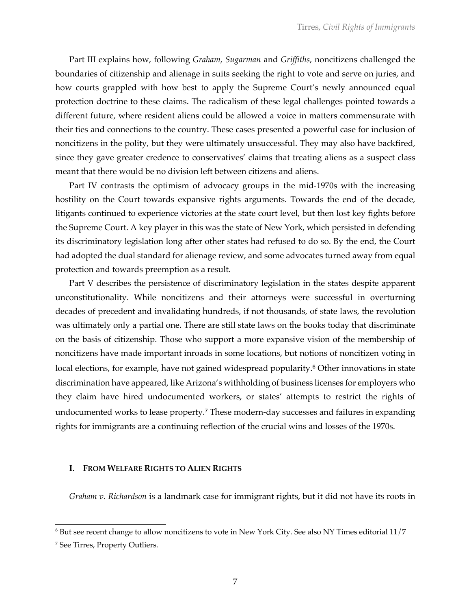Part III explains how, following *Graham*, *Sugarman* and *Griffiths*, noncitizens challenged the boundaries of citizenship and alienage in suits seeking the right to vote and serve on juries, and how courts grappled with how best to apply the Supreme Court's newly announced equal protection doctrine to these claims. The radicalism of these legal challenges pointed towards a different future, where resident aliens could be allowed a voice in matters commensurate with their ties and connections to the country. These cases presented a powerful case for inclusion of noncitizens in the polity, but they were ultimately unsuccessful. They may also have backfired, since they gave greater credence to conservatives' claims that treating aliens as a suspect class meant that there would be no division left between citizens and aliens.

Part IV contrasts the optimism of advocacy groups in the mid-1970s with the increasing hostility on the Court towards expansive rights arguments. Towards the end of the decade, litigants continued to experience victories at the state court level, but then lost key fights before the Supreme Court. A key player in this was the state of New York, which persisted in defending its discriminatory legislation long after other states had refused to do so. By the end, the Court had adopted the dual standard for alienage review, and some advocates turned away from equal protection and towards preemption as a result.

Part V describes the persistence of discriminatory legislation in the states despite apparent unconstitutionality. While noncitizens and their attorneys were successful in overturning decades of precedent and invalidating hundreds, if not thousands, of state laws, the revolution was ultimately only a partial one. There are still state laws on the books today that discriminate on the basis of citizenship. Those who support a more expansive vision of the membership of noncitizens have made important inroads in some locations, but notions of noncitizen voting in local elections, for example, have not gained widespread popularity.<sup>6</sup> Other innovations in state discrimination have appeared, like Arizona's withholding of business licenses for employers who they claim have hired undocumented workers, or states' attempts to restrict the rights of undocumented works to lease property.<sup>7</sup> These modern-day successes and failures in expanding rights for immigrants are a continuing reflection of the crucial wins and losses of the 1970s.

### **I. FROM WELFARE RIGHTS TO ALIEN RIGHTS**

*Graham v. Richardson* is a landmark case for immigrant rights, but it did not have its roots in

 $6$  But see recent change to allow noncitizens to vote in New York City. See also NY Times editorial  $11/7$ 

<sup>7</sup> See Tirres, Property Outliers.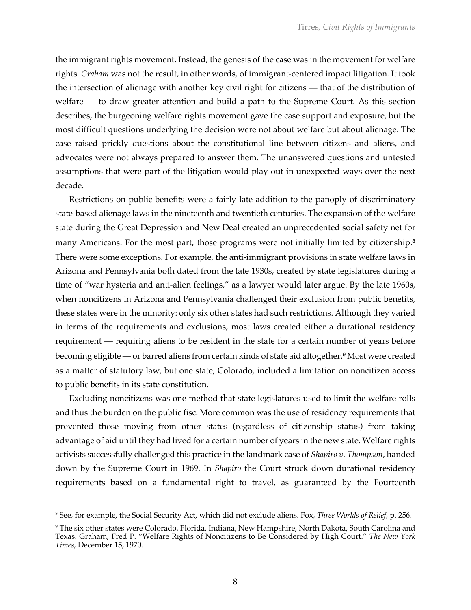the immigrant rights movement. Instead, the genesis of the case was in the movement for welfare rights. *Graham* was not the result, in other words, of immigrant-centered impact litigation. It took the intersection of alienage with another key civil right for citizens — that of the distribution of welfare — to draw greater attention and build a path to the Supreme Court. As this section describes, the burgeoning welfare rights movement gave the case support and exposure, but the most difficult questions underlying the decision were not about welfare but about alienage. The case raised prickly questions about the constitutional line between citizens and aliens, and advocates were not always prepared to answer them. The unanswered questions and untested assumptions that were part of the litigation would play out in unexpected ways over the next decade.

Restrictions on public benefits were a fairly late addition to the panoply of discriminatory state-based alienage laws in the nineteenth and twentieth centuries. The expansion of the welfare state during the Great Depression and New Deal created an unprecedented social safety net for many Americans. For the most part, those programs were not initially limited by citizenship.<sup>8</sup> There were some exceptions. For example, the anti-immigrant provisions in state welfare laws in Arizona and Pennsylvania both dated from the late 1930s, created by state legislatures during a time of "war hysteria and anti-alien feelings," as a lawyer would later argue. By the late 1960s, when noncitizens in Arizona and Pennsylvania challenged their exclusion from public benefits, these states were in the minority: only six other states had such restrictions. Although they varied in terms of the requirements and exclusions, most laws created either a durational residency requirement — requiring aliens to be resident in the state for a certain number of years before becoming eligible — or barred aliens from certain kinds of state aid altogether.<sup>9</sup> Most were created as a matter of statutory law, but one state, Colorado, included a limitation on noncitizen access to public benefits in its state constitution.

Excluding noncitizens was one method that state legislatures used to limit the welfare rolls and thus the burden on the public fisc. More common was the use of residency requirements that prevented those moving from other states (regardless of citizenship status) from taking advantage of aid until they had lived for a certain number of years in the new state. Welfare rights activists successfully challenged this practice in the landmark case of *Shapiro v. Thompson*, handed down by the Supreme Court in 1969. In *Shapiro* the Court struck down durational residency requirements based on a fundamental right to travel, as guaranteed by the Fourteenth

<sup>8</sup> See, for example, the Social Security Act, which did not exclude aliens. Fox, *Three Worlds of Relief*, p. 256.

<sup>9</sup> The six other states were Colorado, Florida, Indiana, New Hampshire, North Dakota, South Carolina and Texas. Graham, Fred P. "Welfare Rights of Noncitizens to Be Considered by High Court." *The New York Times*, December 15, 1970.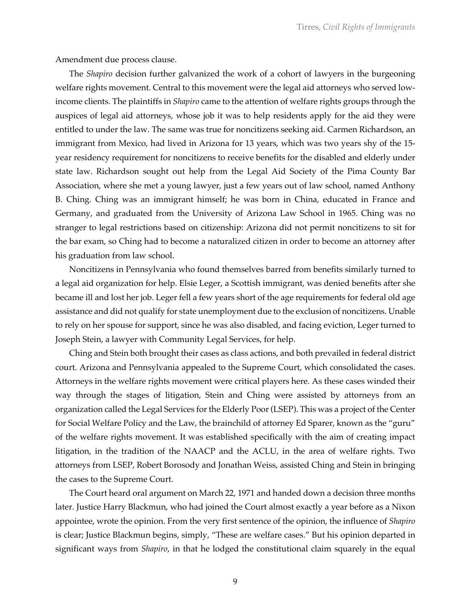Amendment due process clause.

The *Shapiro* decision further galvanized the work of a cohort of lawyers in the burgeoning welfare rights movement. Central to this movement were the legal aid attorneys who served lowincome clients. The plaintiffs in *Shapiro* came to the attention of welfare rights groups through the auspices of legal aid attorneys, whose job it was to help residents apply for the aid they were entitled to under the law. The same was true for noncitizens seeking aid. Carmen Richardson, an immigrant from Mexico, had lived in Arizona for 13 years, which was two years shy of the 15 year residency requirement for noncitizens to receive benefits for the disabled and elderly under state law. Richardson sought out help from the Legal Aid Society of the Pima County Bar Association, where she met a young lawyer, just a few years out of law school, named Anthony B. Ching. Ching was an immigrant himself; he was born in China, educated in France and Germany, and graduated from the University of Arizona Law School in 1965. Ching was no stranger to legal restrictions based on citizenship: Arizona did not permit noncitizens to sit for the bar exam, so Ching had to become a naturalized citizen in order to become an attorney after his graduation from law school.

Noncitizens in Pennsylvania who found themselves barred from benefits similarly turned to a legal aid organization for help. Elsie Leger, a Scottish immigrant, was denied benefits after she became ill and lost her job. Leger fell a few years short of the age requirements for federal old age assistance and did not qualify for state unemployment due to the exclusion of noncitizens. Unable to rely on her spouse for support, since he was also disabled, and facing eviction, Leger turned to Joseph Stein, a lawyer with Community Legal Services, for help.

Ching and Stein both brought their cases as class actions, and both prevailed in federal district court. Arizona and Pennsylvania appealed to the Supreme Court, which consolidated the cases. Attorneys in the welfare rights movement were critical players here. As these cases winded their way through the stages of litigation, Stein and Ching were assisted by attorneys from an organization called the Legal Services for the Elderly Poor (LSEP). This was a project of the Center for Social Welfare Policy and the Law, the brainchild of attorney Ed Sparer, known as the "guru" of the welfare rights movement. It was established specifically with the aim of creating impact litigation, in the tradition of the NAACP and the ACLU, in the area of welfare rights. Two attorneys from LSEP, Robert Borosody and Jonathan Weiss, assisted Ching and Stein in bringing the cases to the Supreme Court.

The Court heard oral argument on March 22, 1971 and handed down a decision three months later. Justice Harry Blackmun, who had joined the Court almost exactly a year before as a Nixon appointee, wrote the opinion. From the very first sentence of the opinion, the influence of *Shapiro* is clear; Justice Blackmun begins, simply, "These are welfare cases." But his opinion departed in significant ways from *Shapiro*, in that he lodged the constitutional claim squarely in the equal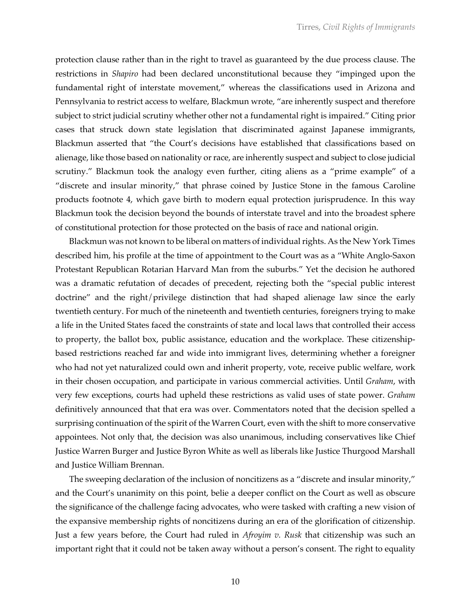protection clause rather than in the right to travel as guaranteed by the due process clause. The restrictions in *Shapiro* had been declared unconstitutional because they "impinged upon the fundamental right of interstate movement," whereas the classifications used in Arizona and Pennsylvania to restrict access to welfare, Blackmun wrote, "are inherently suspect and therefore subject to strict judicial scrutiny whether other not a fundamental right is impaired." Citing prior cases that struck down state legislation that discriminated against Japanese immigrants, Blackmun asserted that "the Court's decisions have established that classifications based on alienage, like those based on nationality or race, are inherently suspect and subject to close judicial scrutiny." Blackmun took the analogy even further, citing aliens as a "prime example" of a "discrete and insular minority," that phrase coined by Justice Stone in the famous Caroline products footnote 4, which gave birth to modern equal protection jurisprudence. In this way Blackmun took the decision beyond the bounds of interstate travel and into the broadest sphere of constitutional protection for those protected on the basis of race and national origin.

Blackmun was not known to be liberal on matters of individual rights. As the New York Times described him, his profile at the time of appointment to the Court was as a "White Anglo-Saxon Protestant Republican Rotarian Harvard Man from the suburbs." Yet the decision he authored was a dramatic refutation of decades of precedent, rejecting both the "special public interest doctrine" and the right/privilege distinction that had shaped alienage law since the early twentieth century. For much of the nineteenth and twentieth centuries, foreigners trying to make a life in the United States faced the constraints of state and local laws that controlled their access to property, the ballot box, public assistance, education and the workplace. These citizenshipbased restrictions reached far and wide into immigrant lives, determining whether a foreigner who had not yet naturalized could own and inherit property, vote, receive public welfare, work in their chosen occupation, and participate in various commercial activities. Until *Graham*, with very few exceptions, courts had upheld these restrictions as valid uses of state power. *Graham* definitively announced that that era was over. Commentators noted that the decision spelled a surprising continuation of the spirit of the Warren Court, even with the shift to more conservative appointees. Not only that, the decision was also unanimous, including conservatives like Chief Justice Warren Burger and Justice Byron White as well as liberals like Justice Thurgood Marshall and Justice William Brennan.

The sweeping declaration of the inclusion of noncitizens as a "discrete and insular minority," and the Court's unanimity on this point, belie a deeper conflict on the Court as well as obscure the significance of the challenge facing advocates, who were tasked with crafting a new vision of the expansive membership rights of noncitizens during an era of the glorification of citizenship. Just a few years before, the Court had ruled in *Afroyim v. Rusk* that citizenship was such an important right that it could not be taken away without a person's consent. The right to equality

10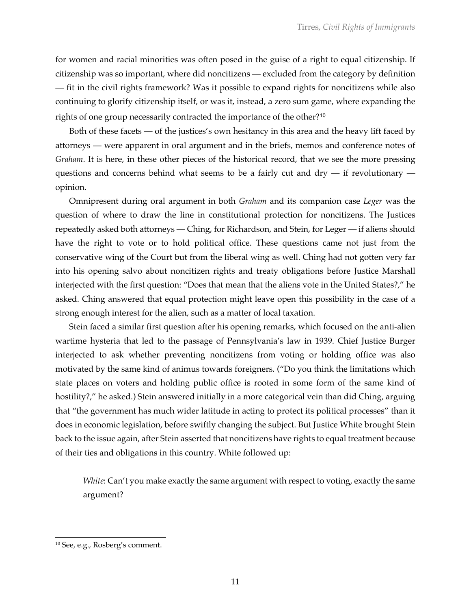for women and racial minorities was often posed in the guise of a right to equal citizenship. If citizenship was so important, where did noncitizens — excluded from the category by definition — fit in the civil rights framework? Was it possible to expand rights for noncitizens while also continuing to glorify citizenship itself, or was it, instead, a zero sum game, where expanding the rights of one group necessarily contracted the importance of the other?<sup>10</sup>

Both of these facets — of the justices's own hesitancy in this area and the heavy lift faced by attorneys — were apparent in oral argument and in the briefs, memos and conference notes of *Graham*. It is here, in these other pieces of the historical record, that we see the more pressing questions and concerns behind what seems to be a fairly cut and  $\text{dry}$  — if revolutionary opinion.

Omnipresent during oral argument in both *Graham* and its companion case *Leger* was the question of where to draw the line in constitutional protection for noncitizens. The Justices repeatedly asked both attorneys — Ching, for Richardson, and Stein, for Leger — if aliens should have the right to vote or to hold political office. These questions came not just from the conservative wing of the Court but from the liberal wing as well. Ching had not gotten very far into his opening salvo about noncitizen rights and treaty obligations before Justice Marshall interjected with the first question: "Does that mean that the aliens vote in the United States?," he asked. Ching answered that equal protection might leave open this possibility in the case of a strong enough interest for the alien, such as a matter of local taxation.

Stein faced a similar first question after his opening remarks, which focused on the anti-alien wartime hysteria that led to the passage of Pennsylvania's law in 1939. Chief Justice Burger interjected to ask whether preventing noncitizens from voting or holding office was also motivated by the same kind of animus towards foreigners. ("Do you think the limitations which state places on voters and holding public office is rooted in some form of the same kind of hostility?," he asked.) Stein answered initially in a more categorical vein than did Ching, arguing that "the government has much wider latitude in acting to protect its political processes" than it does in economic legislation, before swiftly changing the subject. But Justice White brought Stein back to the issue again, after Stein asserted that noncitizens have rights to equal treatment because of their ties and obligations in this country. White followed up:

*White*: Can't you make exactly the same argument with respect to voting, exactly the same argument?

<sup>10</sup> See, e.g., Rosberg's comment.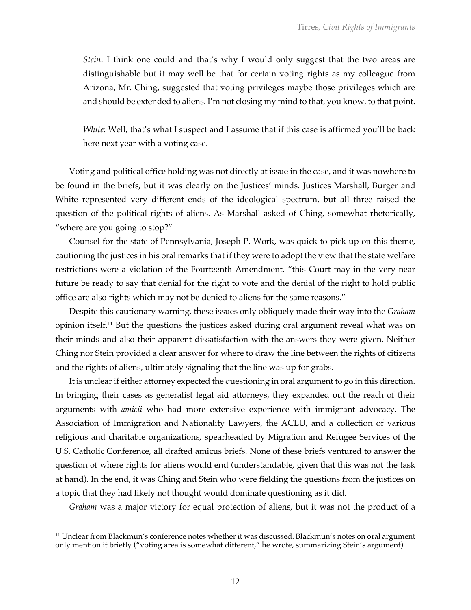*Stein*: I think one could and that's why I would only suggest that the two areas are distinguishable but it may well be that for certain voting rights as my colleague from Arizona, Mr. Ching, suggested that voting privileges maybe those privileges which are and should be extended to aliens. I'm not closing my mind to that, you know, to that point.

*White*: Well, that's what I suspect and I assume that if this case is affirmed you'll be back here next year with a voting case.

Voting and political office holding was not directly at issue in the case, and it was nowhere to be found in the briefs, but it was clearly on the Justices' minds. Justices Marshall, Burger and White represented very different ends of the ideological spectrum, but all three raised the question of the political rights of aliens. As Marshall asked of Ching, somewhat rhetorically, "where are you going to stop?"

Counsel for the state of Pennsylvania, Joseph P. Work, was quick to pick up on this theme, cautioning the justices in his oral remarks that if they were to adopt the view that the state welfare restrictions were a violation of the Fourteenth Amendment, "this Court may in the very near future be ready to say that denial for the right to vote and the denial of the right to hold public office are also rights which may not be denied to aliens for the same reasons."

Despite this cautionary warning, these issues only obliquely made their way into the *Graham* opinion itself.11 But the questions the justices asked during oral argument reveal what was on their minds and also their apparent dissatisfaction with the answers they were given. Neither Ching nor Stein provided a clear answer for where to draw the line between the rights of citizens and the rights of aliens, ultimately signaling that the line was up for grabs.

It is unclear if either attorney expected the questioning in oral argument to go in this direction. In bringing their cases as generalist legal aid attorneys, they expanded out the reach of their arguments with *amicii* who had more extensive experience with immigrant advocacy. The Association of Immigration and Nationality Lawyers, the ACLU, and a collection of various religious and charitable organizations, spearheaded by Migration and Refugee Services of the U.S. Catholic Conference, all drafted amicus briefs. None of these briefs ventured to answer the question of where rights for aliens would end (understandable, given that this was not the task at hand). In the end, it was Ching and Stein who were fielding the questions from the justices on a topic that they had likely not thought would dominate questioning as it did.

*Graham* was a major victory for equal protection of aliens, but it was not the product of a

 $11$  Unclear from Blackmun's conference notes whether it was discussed. Blackmun's notes on oral argument only mention it briefly ("voting area is somewhat different," he wrote, summarizing Stein's argument).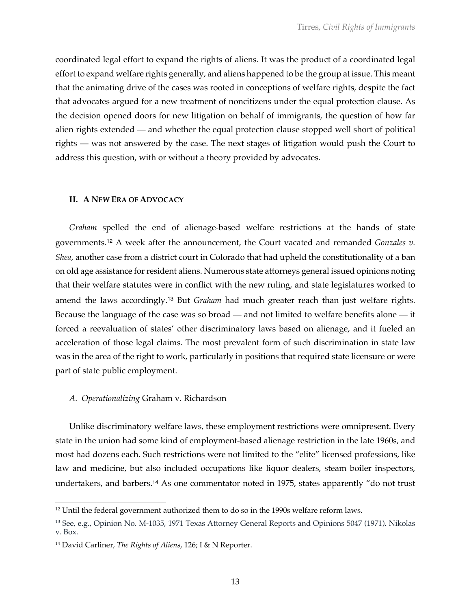coordinated legal effort to expand the rights of aliens. It was the product of a coordinated legal effort to expand welfare rights generally, and aliens happened to be the group at issue. This meant that the animating drive of the cases was rooted in conceptions of welfare rights, despite the fact that advocates argued for a new treatment of noncitizens under the equal protection clause. As the decision opened doors for new litigation on behalf of immigrants, the question of how far alien rights extended — and whether the equal protection clause stopped well short of political rights — was not answered by the case. The next stages of litigation would push the Court to address this question, with or without a theory provided by advocates.

### **II. A NEW ERA OF ADVOCACY**

*Graham* spelled the end of alienage-based welfare restrictions at the hands of state governments.<sup>12</sup> A week after the announcement, the Court vacated and remanded *Gonzales v. Shea*, another case from a district court in Colorado that had upheld the constitutionality of a ban on old age assistance for resident aliens. Numerous state attorneys general issued opinions noting that their welfare statutes were in conflict with the new ruling, and state legislatures worked to amend the laws accordingly.<sup>13</sup> But *Graham* had much greater reach than just welfare rights. Because the language of the case was so broad — and not limited to welfare benefits alone — it forced a reevaluation of states' other discriminatory laws based on alienage, and it fueled an acceleration of those legal claims. The most prevalent form of such discrimination in state law was in the area of the right to work, particularly in positions that required state licensure or were part of state public employment.

### *A. Operationalizing* Graham v. Richardson

Unlike discriminatory welfare laws, these employment restrictions were omnipresent. Every state in the union had some kind of employment-based alienage restriction in the late 1960s, and most had dozens each. Such restrictions were not limited to the "elite" licensed professions, like law and medicine, but also included occupations like liquor dealers, steam boiler inspectors, undertakers, and barbers.<sup>14</sup> As one commentator noted in 1975, states apparently "do not trust

 $12$  Until the federal government authorized them to do so in the 1990s welfare reform laws.

<sup>13</sup> See, e.g., Opinion No. M-1035, 1971 Texas Attorney General Reports and Opinions 5047 (1971). Nikolas v. Box.

<sup>14</sup> David Carliner, *The Rights of Aliens*, 126; I & N Reporter.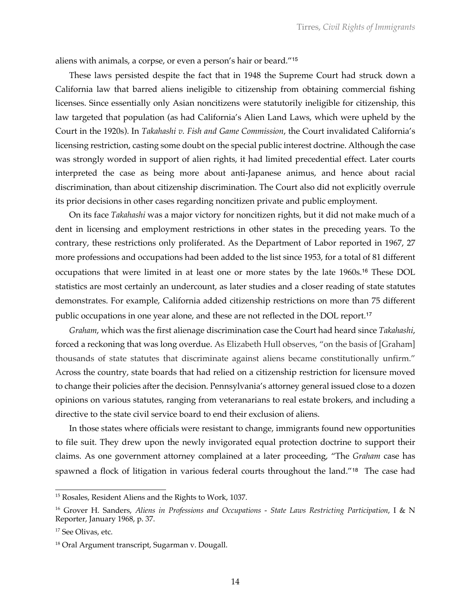aliens with animals, a corpse, or even a person's hair or beard."<sup>15</sup>

These laws persisted despite the fact that in 1948 the Supreme Court had struck down a California law that barred aliens ineligible to citizenship from obtaining commercial fishing licenses. Since essentially only Asian noncitizens were statutorily ineligible for citizenship, this law targeted that population (as had California's Alien Land Laws, which were upheld by the Court in the 1920s). In *Takahashi v. Fish and Game Commission*, the Court invalidated California's licensing restriction, casting some doubt on the special public interest doctrine. Although the case was strongly worded in support of alien rights, it had limited precedential effect. Later courts interpreted the case as being more about anti-Japanese animus, and hence about racial discrimination, than about citizenship discrimination. The Court also did not explicitly overrule its prior decisions in other cases regarding noncitizen private and public employment.

On its face *Takahashi* was a major victory for noncitizen rights, but it did not make much of a dent in licensing and employment restrictions in other states in the preceding years. To the contrary, these restrictions only proliferated. As the Department of Labor reported in 1967, 27 more professions and occupations had been added to the list since 1953, for a total of 81 different occupations that were limited in at least one or more states by the late 1960s.<sup>16</sup> These DOL statistics are most certainly an undercount, as later studies and a closer reading of state statutes demonstrates. For example, California added citizenship restrictions on more than 75 different public occupations in one year alone, and these are not reflected in the DOL report.<sup>17</sup>

*Graham*, which was the first alienage discrimination case the Court had heard since *Takahashi*, forced a reckoning that was long overdue. As Elizabeth Hull observes, "on the basis of [Graham] thousands of state statutes that discriminate against aliens became constitutionally unfirm." Across the country, state boards that had relied on a citizenship restriction for licensure moved to change their policies after the decision. Pennsylvania's attorney general issued close to a dozen opinions on various statutes, ranging from veteranarians to real estate brokers, and including a directive to the state civil service board to end their exclusion of aliens.

In those states where officials were resistant to change, immigrants found new opportunities to file suit. They drew upon the newly invigorated equal protection doctrine to support their claims. As one government attorney complained at a later proceeding, "The *Graham* case has spawned a flock of litigation in various federal courts throughout the land."<sup>18</sup> The case had

<sup>15</sup> Rosales, Resident Aliens and the Rights to Work, 1037.

<sup>16</sup> Grover H. Sanders, *Aliens in Professions and Occupations - State Laws Restricting Participation*, I & N Reporter, January 1968, p. 37.

<sup>&</sup>lt;sup>17</sup> See Olivas, etc.

<sup>18</sup> Oral Argument transcript, Sugarman v. Dougall.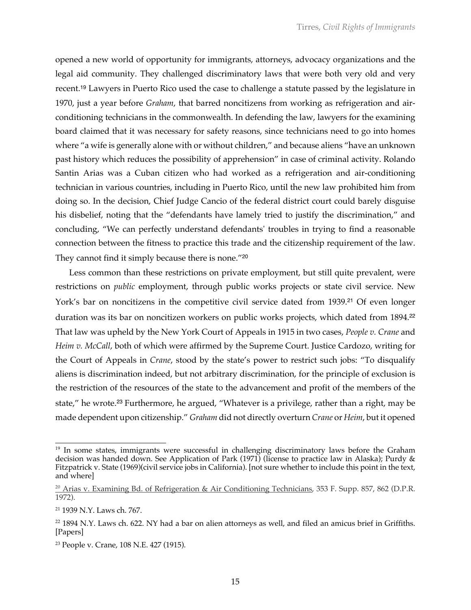opened a new world of opportunity for immigrants, attorneys, advocacy organizations and the legal aid community. They challenged discriminatory laws that were both very old and very recent.<sup>19</sup> Lawyers in Puerto Rico used the case to challenge a statute passed by the legislature in 1970, just a year before *Graham*, that barred noncitizens from working as refrigeration and airconditioning technicians in the commonwealth. In defending the law, lawyers for the examining board claimed that it was necessary for safety reasons, since technicians need to go into homes where "a wife is generally alone with or without children," and because aliens "have an unknown past history which reduces the possibility of apprehension" in case of criminal activity. Rolando Santin Arias was a Cuban citizen who had worked as a refrigeration and air-conditioning technician in various countries, including in Puerto Rico, until the new law prohibited him from doing so. In the decision, Chief Judge Cancio of the federal district court could barely disguise his disbelief, noting that the "defendants have lamely tried to justify the discrimination," and concluding, "We can perfectly understand defendants' troubles in trying to find a reasonable connection between the fitness to practice this trade and the citizenship requirement of the law. They cannot find it simply because there is none."<sup>20</sup>

Less common than these restrictions on private employment, but still quite prevalent, were restrictions on *public* employment, through public works projects or state civil service. New York's bar on noncitizens in the competitive civil service dated from 1939.<sup>21</sup> Of even longer duration was its bar on noncitizen workers on public works projects, which dated from 1894.<sup>22</sup> That law was upheld by the New York Court of Appeals in 1915 in two cases, *People v. Crane* and *Heim v. McCall*, both of which were affirmed by the Supreme Court. Justice Cardozo, writing for the Court of Appeals in *Crane*, stood by the state's power to restrict such jobs: "To disqualify aliens is discrimination indeed, but not arbitrary discrimination, for the principle of exclusion is the restriction of the resources of the state to the advancement and profit of the members of the state," he wrote.<sup>23</sup> Furthermore, he argued, "Whatever is a privilege, rather than a right, may be made dependent upon citizenship." *Graham* did not directly overturn *Crane* or *Heim*, but it opened

<sup>&</sup>lt;sup>19</sup> In some states, immigrants were successful in challenging discriminatory laws before the Graham decision was handed down. See Application of Park (1971) (license to practice law in Alaska); Purdy & Fitzpatrick v. State (1969)(civil service jobs in California). [not sure whether to include this point in the text, and where]

 $\frac{20}{20}$  Arias v. Examining Bd. of Refrigeration & Air Conditioning Technicians, 353 F. Supp. 857, 862 (D.P.R. 1972).

<sup>21</sup> 1939 N.Y. Laws ch. 767.

 $22$  1894 N.Y. Laws ch. 622. NY had a bar on alien attorneys as well, and filed an amicus brief in Griffiths. [Papers]

<sup>23</sup> People v. Crane, 108 N.E. 427 (1915).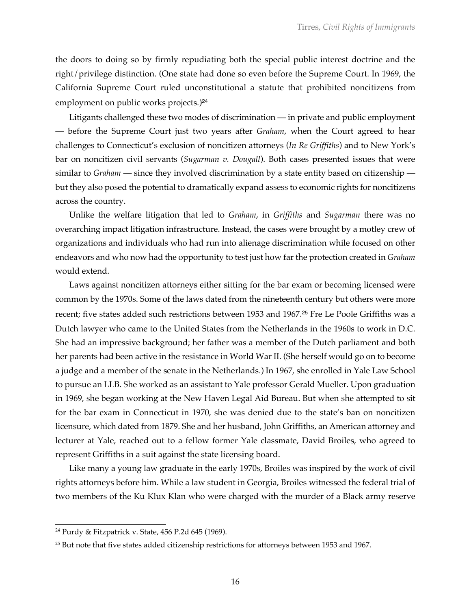the doors to doing so by firmly repudiating both the special public interest doctrine and the right/privilege distinction. (One state had done so even before the Supreme Court. In 1969, the California Supreme Court ruled unconstitutional a statute that prohibited noncitizens from employment on public works projects.)<sup>24</sup>

Litigants challenged these two modes of discrimination — in private and public employment — before the Supreme Court just two years after *Graham*, when the Court agreed to hear challenges to Connecticut's exclusion of noncitizen attorneys (*In Re Griffiths*) and to New York's bar on noncitizen civil servants (*Sugarman v. Dougall*). Both cases presented issues that were similar to *Graham* — since they involved discrimination by a state entity based on citizenship but they also posed the potential to dramatically expand assess to economic rights for noncitizens across the country.

Unlike the welfare litigation that led to *Graham*, in *Griffiths* and *Sugarman* there was no overarching impact litigation infrastructure. Instead, the cases were brought by a motley crew of organizations and individuals who had run into alienage discrimination while focused on other endeavors and who now had the opportunity to test just how far the protection created in *Graham* would extend.

Laws against noncitizen attorneys either sitting for the bar exam or becoming licensed were common by the 1970s. Some of the laws dated from the nineteenth century but others were more recent; five states added such restrictions between 1953 and 1967.<sup>25</sup> Fre Le Poole Griffiths was a Dutch lawyer who came to the United States from the Netherlands in the 1960s to work in D.C. She had an impressive background; her father was a member of the Dutch parliament and both her parents had been active in the resistance in World War II. (She herself would go on to become a judge and a member of the senate in the Netherlands.) In 1967, she enrolled in Yale Law School to pursue an LLB. She worked as an assistant to Yale professor Gerald Mueller. Upon graduation in 1969, she began working at the New Haven Legal Aid Bureau. But when she attempted to sit for the bar exam in Connecticut in 1970, she was denied due to the state's ban on noncitizen licensure, which dated from 1879. She and her husband, John Griffiths, an American attorney and lecturer at Yale, reached out to a fellow former Yale classmate, David Broiles, who agreed to represent Griffiths in a suit against the state licensing board.

Like many a young law graduate in the early 1970s, Broiles was inspired by the work of civil rights attorneys before him. While a law student in Georgia, Broiles witnessed the federal trial of two members of the Ku Klux Klan who were charged with the murder of a Black army reserve

<sup>24</sup> Purdy & Fitzpatrick v. State, 456 P.2d 645 (1969).

<sup>&</sup>lt;sup>25</sup> But note that five states added citizenship restrictions for attorneys between 1953 and 1967.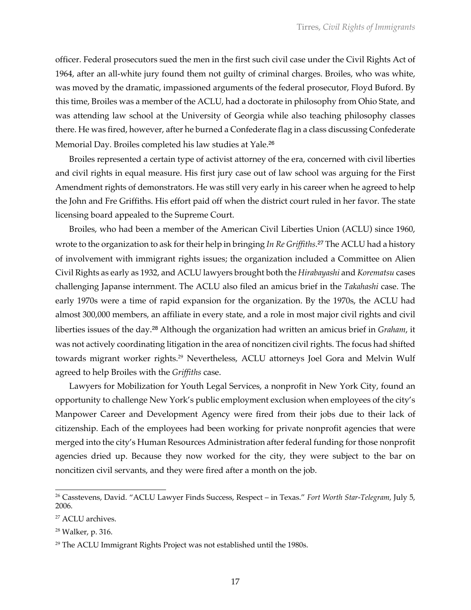officer. Federal prosecutors sued the men in the first such civil case under the Civil Rights Act of 1964, after an all-white jury found them not guilty of criminal charges. Broiles, who was white, was moved by the dramatic, impassioned arguments of the federal prosecutor, Floyd Buford. By this time, Broiles was a member of the ACLU, had a doctorate in philosophy from Ohio State, and was attending law school at the University of Georgia while also teaching philosophy classes there. He was fired, however, after he burned a Confederate flag in a class discussing Confederate Memorial Day. Broiles completed his law studies at Yale.<sup>26</sup>

Broiles represented a certain type of activist attorney of the era, concerned with civil liberties and civil rights in equal measure. His first jury case out of law school was arguing for the First Amendment rights of demonstrators. He was still very early in his career when he agreed to help the John and Fre Griffiths. His effort paid off when the district court ruled in her favor. The state licensing board appealed to the Supreme Court.

Broiles, who had been a member of the American Civil Liberties Union (ACLU) since 1960, wrote to the organization to ask for their help in bringing *In Re Griffiths*. <sup>27</sup> The ACLU had a history of involvement with immigrant rights issues; the organization included a Committee on Alien Civil Rights as early as 1932, and ACLU lawyers brought both the *Hirabayashi* and *Korematsu* cases challenging Japanse internment. The ACLU also filed an amicus brief in the *Takahashi* case. The early 1970s were a time of rapid expansion for the organization. By the 1970s, the ACLU had almost 300,000 members, an affiliate in every state, and a role in most major civil rights and civil liberties issues of the day.<sup>28</sup> Although the organization had written an amicus brief in *Graham*, it was not actively coordinating litigation in the area of noncitizen civil rights. The focus had shifted towards migrant worker rights.29 Nevertheless, ACLU attorneys Joel Gora and Melvin Wulf agreed to help Broiles with the *Griffiths* case.

Lawyers for Mobilization for Youth Legal Services, a nonprofit in New York City, found an opportunity to challenge New York's public employment exclusion when employees of the city's Manpower Career and Development Agency were fired from their jobs due to their lack of citizenship. Each of the employees had been working for private nonprofit agencies that were merged into the city's Human Resources Administration after federal funding for those nonprofit agencies dried up. Because they now worked for the city, they were subject to the bar on noncitizen civil servants, and they were fired after a month on the job.

<sup>26</sup> Casstevens, David. "ACLU Lawyer Finds Success, Respect – in Texas." *Fort Worth Star-Telegram*, July 5, 2006.

<sup>27</sup> ACLU archives.

<sup>28</sup> Walker, p. 316.

<sup>&</sup>lt;sup>29</sup> The ACLU Immigrant Rights Project was not established until the 1980s.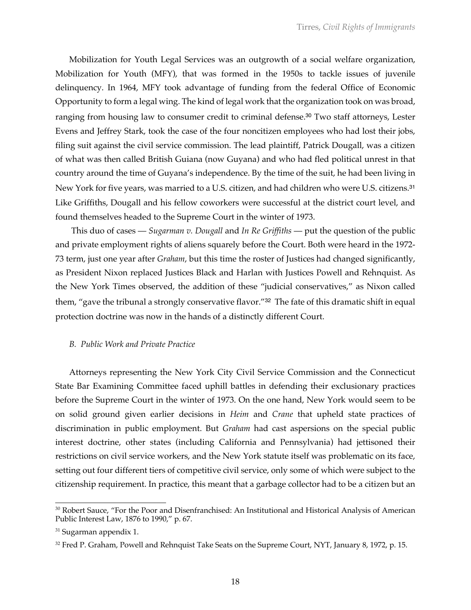Mobilization for Youth Legal Services was an outgrowth of a social welfare organization, Mobilization for Youth (MFY), that was formed in the 1950s to tackle issues of juvenile delinquency. In 1964, MFY took advantage of funding from the federal Office of Economic Opportunity to form a legal wing. The kind of legal work that the organization took on was broad, ranging from housing law to consumer credit to criminal defense.<sup>30</sup> Two staff attorneys, Lester Evens and Jeffrey Stark, took the case of the four noncitizen employees who had lost their jobs, filing suit against the civil service commission. The lead plaintiff, Patrick Dougall, was a citizen of what was then called British Guiana (now Guyana) and who had fled political unrest in that country around the time of Guyana's independence. By the time of the suit, he had been living in New York for five years, was married to a U.S. citizen, and had children who were U.S. citizens.<sup>31</sup> Like Griffiths, Dougall and his fellow coworkers were successful at the district court level, and found themselves headed to the Supreme Court in the winter of 1973.

This duo of cases — *Sugarman v. Dougall* and *In Re Griffiths* — put the question of the public and private employment rights of aliens squarely before the Court. Both were heard in the 1972- 73 term, just one year after *Graham*, but this time the roster of Justices had changed significantly, as President Nixon replaced Justices Black and Harlan with Justices Powell and Rehnquist. As the New York Times observed, the addition of these "judicial conservatives," as Nixon called them, "gave the tribunal a strongly conservative flavor."<sup>32</sup> The fate of this dramatic shift in equal protection doctrine was now in the hands of a distinctly different Court.

### *B. Public Work and Private Practice*

Attorneys representing the New York City Civil Service Commission and the Connecticut State Bar Examining Committee faced uphill battles in defending their exclusionary practices before the Supreme Court in the winter of 1973. On the one hand, New York would seem to be on solid ground given earlier decisions in *Heim* and *Crane* that upheld state practices of discrimination in public employment. But *Graham* had cast aspersions on the special public interest doctrine, other states (including California and Pennsylvania) had jettisoned their restrictions on civil service workers, and the New York statute itself was problematic on its face, setting out four different tiers of competitive civil service, only some of which were subject to the citizenship requirement. In practice, this meant that a garbage collector had to be a citizen but an

<sup>&</sup>lt;sup>30</sup> Robert Sauce, "For the Poor and Disenfranchised: An Institutional and Historical Analysis of American Public Interest Law, 1876 to 1990," p. 67.

 $31$  Sugarman appendix 1.

<sup>&</sup>lt;sup>32</sup> Fred P. Graham, Powell and Rehnquist Take Seats on the Supreme Court, NYT, January 8, 1972, p. 15.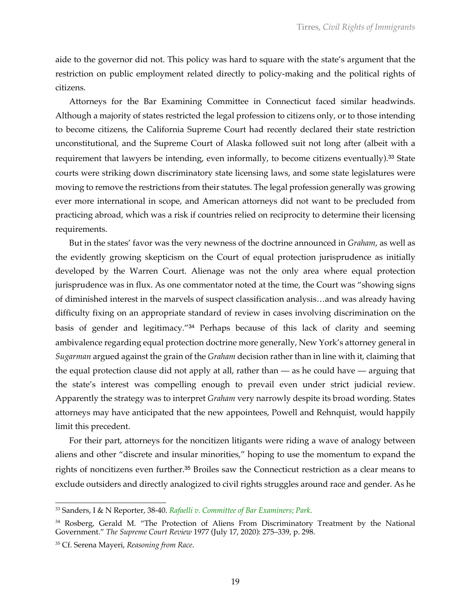aide to the governor did not. This policy was hard to square with the state's argument that the restriction on public employment related directly to policy-making and the political rights of citizens.

Attorneys for the Bar Examining Committee in Connecticut faced similar headwinds. Although a majority of states restricted the legal profession to citizens only, or to those intending to become citizens, the California Supreme Court had recently declared their state restriction unconstitutional, and the Supreme Court of Alaska followed suit not long after (albeit with a requirement that lawyers be intending, even informally, to become citizens eventually).<sup>33</sup> State courts were striking down discriminatory state licensing laws, and some state legislatures were moving to remove the restrictions from their statutes. The legal profession generally was growing ever more international in scope, and American attorneys did not want to be precluded from practicing abroad, which was a risk if countries relied on reciprocity to determine their licensing requirements.

But in the states' favor was the very newness of the doctrine announced in *Graham*, as well as the evidently growing skepticism on the Court of equal protection jurisprudence as initially developed by the Warren Court. Alienage was not the only area where equal protection jurisprudence was in flux. As one commentator noted at the time, the Court was "showing signs of diminished interest in the marvels of suspect classification analysis…and was already having difficulty fixing on an appropriate standard of review in cases involving discrimination on the basis of gender and legitimacy."<sup>34</sup> Perhaps because of this lack of clarity and seeming ambivalence regarding equal protection doctrine more generally, New York's attorney general in *Sugarman* argued against the grain of the *Graham* decision rather than in line with it, claiming that the equal protection clause did not apply at all, rather than — as he could have — arguing that the state's interest was compelling enough to prevail even under strict judicial review. Apparently the strategy was to interpret *Graham* very narrowly despite its broad wording. States attorneys may have anticipated that the new appointees, Powell and Rehnquist, would happily limit this precedent.

For their part, attorneys for the noncitizen litigants were riding a wave of analogy between aliens and other "discrete and insular minorities," hoping to use the momentum to expand the rights of noncitizens even further.<sup>35</sup> Broiles saw the Connecticut restriction as a clear means to exclude outsiders and directly analogized to civil rights struggles around race and gender. As he

<sup>33</sup> Sanders, I & N Reporter, 38-40. *Rafaelli v. Committee of Bar Examiners*; *Park*.

<sup>&</sup>lt;sup>34</sup> Rosberg, Gerald M. "The Protection of Aliens From Discriminatory Treatment by the National Government." *The Supreme Court Review* 1977 (July 17, 2020): 275–339, p. 298.

<sup>35</sup> Cf. Serena Mayeri, *Reasoning from Race*.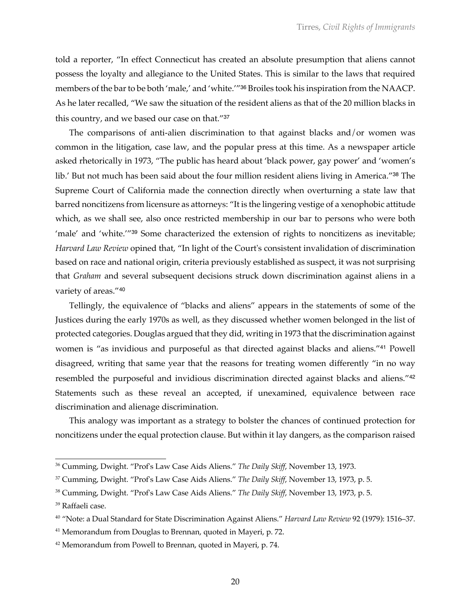told a reporter, "In effect Connecticut has created an absolute presumption that aliens cannot possess the loyalty and allegiance to the United States. This is similar to the laws that required members of the bar to be both 'male,' and 'white.'"<sup>36</sup> Broiles took his inspiration from the NAACP. As he later recalled, "We saw the situation of the resident aliens as that of the 20 million blacks in this country, and we based our case on that."<sup>37</sup>

The comparisons of anti-alien discrimination to that against blacks and/or women was common in the litigation, case law, and the popular press at this time. As a newspaper article asked rhetorically in 1973, "The public has heard about 'black power, gay power' and 'women's lib.' But not much has been said about the four million resident aliens living in America."<sup>38</sup> The Supreme Court of California made the connection directly when overturning a state law that barred noncitizens from licensure as attorneys: "It is the lingering vestige of a xenophobic attitude which, as we shall see, also once restricted membership in our bar to persons who were both 'male' and 'white.'"<sup>39</sup> Some characterized the extension of rights to noncitizens as inevitable; *Harvard Law Review* opined that, "In light of the Court's consistent invalidation of discrimination based on race and national origin, criteria previously established as suspect, it was not surprising that *Graham* and several subsequent decisions struck down discrimination against aliens in a variety of areas."<sup>40</sup>

Tellingly, the equivalence of "blacks and aliens" appears in the statements of some of the Justices during the early 1970s as well, as they discussed whether women belonged in the list of protected categories. Douglas argued that they did, writing in 1973 that the discrimination against women is "as invidious and purposeful as that directed against blacks and aliens."<sup>41</sup> Powell disagreed, writing that same year that the reasons for treating women differently "in no way resembled the purposeful and invidious discrimination directed against blacks and aliens."<sup>42</sup> Statements such as these reveal an accepted, if unexamined, equivalence between race discrimination and alienage discrimination.

This analogy was important as a strategy to bolster the chances of continued protection for noncitizens under the equal protection clause. But within it lay dangers, as the comparison raised

<sup>36</sup> Cumming, Dwight. "Prof's Law Case Aids Aliens." *The Daily Skiff*, November 13, 1973.

<sup>37</sup> Cumming, Dwight. "Prof's Law Case Aids Aliens." *The Daily Skiff*, November 13, 1973, p. 5.

<sup>38</sup> Cumming, Dwight. "Prof's Law Case Aids Aliens." *The Daily Skiff*, November 13, 1973, p. 5.

<sup>&</sup>lt;sup>39</sup> Raffaeli case.

<sup>40</sup> "Note: a Dual Standard for State Discrimination Against Aliens." *Harvard Law Review* 92 (1979): 1516–37.

<sup>&</sup>lt;sup>41</sup> Memorandum from Douglas to Brennan, quoted in Mayeri, p. 72.

<sup>&</sup>lt;sup>42</sup> Memorandum from Powell to Brennan, quoted in Mayeri, p. 74.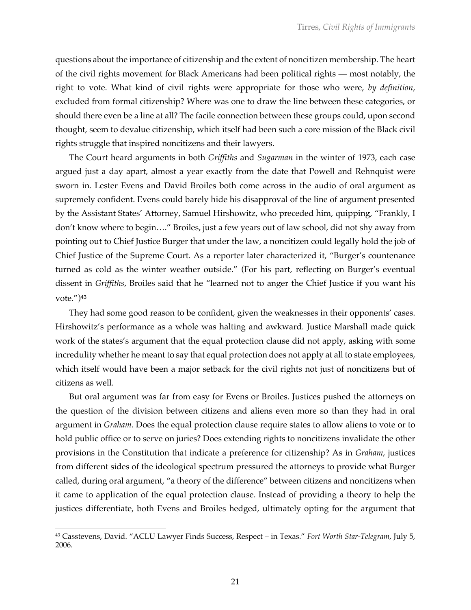questions about the importance of citizenship and the extent of noncitizen membership. The heart of the civil rights movement for Black Americans had been political rights — most notably, the right to vote. What kind of civil rights were appropriate for those who were, *by definition*, excluded from formal citizenship? Where was one to draw the line between these categories, or should there even be a line at all? The facile connection between these groups could, upon second thought, seem to devalue citizenship, which itself had been such a core mission of the Black civil rights struggle that inspired noncitizens and their lawyers.

The Court heard arguments in both *Griffiths* and *Sugarman* in the winter of 1973, each case argued just a day apart, almost a year exactly from the date that Powell and Rehnquist were sworn in. Lester Evens and David Broiles both come across in the audio of oral argument as supremely confident. Evens could barely hide his disapproval of the line of argument presented by the Assistant States' Attorney, Samuel Hirshowitz, who preceded him, quipping, "Frankly, I don't know where to begin…." Broiles, just a few years out of law school, did not shy away from pointing out to Chief Justice Burger that under the law, a noncitizen could legally hold the job of Chief Justice of the Supreme Court. As a reporter later characterized it, "Burger's countenance turned as cold as the winter weather outside." (For his part, reflecting on Burger's eventual dissent in *Griffiths*, Broiles said that he "learned not to anger the Chief Justice if you want his vote.")<sup>43</sup>

They had some good reason to be confident, given the weaknesses in their opponents' cases. Hirshowitz's performance as a whole was halting and awkward. Justice Marshall made quick work of the states's argument that the equal protection clause did not apply, asking with some incredulity whether he meant to say that equal protection does not apply at all to state employees, which itself would have been a major setback for the civil rights not just of noncitizens but of citizens as well.

But oral argument was far from easy for Evens or Broiles. Justices pushed the attorneys on the question of the division between citizens and aliens even more so than they had in oral argument in *Graham*. Does the equal protection clause require states to allow aliens to vote or to hold public office or to serve on juries? Does extending rights to noncitizens invalidate the other provisions in the Constitution that indicate a preference for citizenship? As in *Graham*, justices from different sides of the ideological spectrum pressured the attorneys to provide what Burger called, during oral argument, "a theory of the difference" between citizens and noncitizens when it came to application of the equal protection clause. Instead of providing a theory to help the justices differentiate, both Evens and Broiles hedged, ultimately opting for the argument that

<sup>43</sup> Casstevens, David. "ACLU Lawyer Finds Success, Respect – in Texas." *Fort Worth Star-Telegram*, July 5, 2006.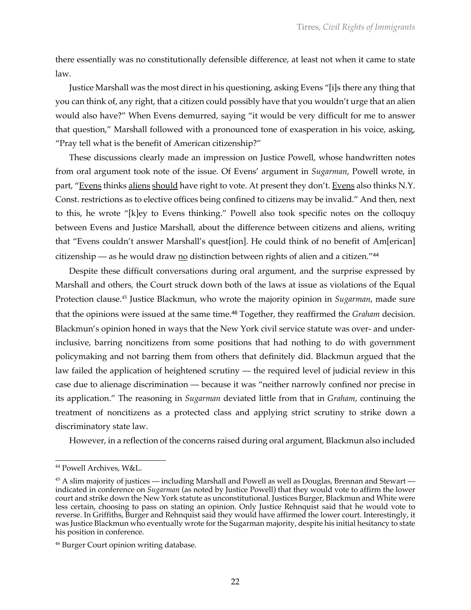there essentially was no constitutionally defensible difference, at least not when it came to state law.

Justice Marshall was the most direct in his questioning, asking Evens "[i]s there any thing that you can think of, any right, that a citizen could possibly have that you wouldn't urge that an alien would also have?" When Evens demurred, saying "it would be very difficult for me to answer that question," Marshall followed with a pronounced tone of exasperation in his voice, asking, "Pray tell what is the benefit of American citizenship?"

These discussions clearly made an impression on Justice Powell, whose handwritten notes from oral argument took note of the issue. Of Evens' argument in *Sugarman*, Powell wrote, in part, "Evens thinks aliens should have right to vote. At present they don't. Evens also thinks N.Y. Const. restrictions as to elective offices being confined to citizens may be invalid." And then, next to this, he wrote "[k]ey to Evens thinking." Powell also took specific notes on the colloquy between Evens and Justice Marshall, about the difference between citizens and aliens, writing that "Evens couldn't answer Marshall's quest[ion]. He could think of no benefit of Am[erican] citizenship — as he would draw no distinction between rights of alien and a citizen."<sup>44</sup>

Despite these difficult conversations during oral argument, and the surprise expressed by Marshall and others, the Court struck down both of the laws at issue as violations of the Equal Protection clause.45 Justice Blackmun, who wrote the majority opinion in *Sugarman*, made sure that the opinions were issued at the same time.<sup>46</sup> Together, they reaffirmed the *Graham* decision. Blackmun's opinion honed in ways that the New York civil service statute was over- and underinclusive, barring noncitizens from some positions that had nothing to do with government policymaking and not barring them from others that definitely did. Blackmun argued that the law failed the application of heightened scrutiny — the required level of judicial review in this case due to alienage discrimination — because it was "neither narrowly confined nor precise in its application." The reasoning in *Sugarman* deviated little from that in *Graham*, continuing the treatment of noncitizens as a protected class and applying strict scrutiny to strike down a discriminatory state law.

However, in a reflection of the concerns raised during oral argument, Blackmun also included

<sup>44</sup> Powell Archives, W&L.

 $45$  A slim majority of justices — including Marshall and Powell as well as Douglas, Brennan and Stewart indicated in conference on *Sugarman* (as noted by Justice Powell) that they would vote to affirm the lower court and strike down the New York statute as unconstitutional. Justices Burger, Blackmun and White were less certain, choosing to pass on stating an opinion. Only Justice Rehnquist said that he would vote to reverse. In Griffiths, Burger and Rehnquist said they would have affirmed the lower court. Interestingly, it was Justice Blackmun who eventually wrote for the Sugarman majority, despite his initial hesitancy to state his position in conference.

<sup>46</sup> Burger Court opinion writing database.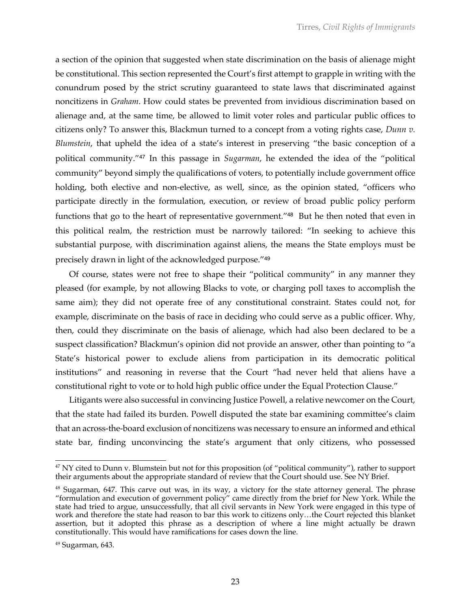a section of the opinion that suggested when state discrimination on the basis of alienage might be constitutional. This section represented the Court's first attempt to grapple in writing with the conundrum posed by the strict scrutiny guaranteed to state laws that discriminated against noncitizens in *Graham*. How could states be prevented from invidious discrimination based on alienage and, at the same time, be allowed to limit voter roles and particular public offices to citizens only? To answer this, Blackmun turned to a concept from a voting rights case, *Dunn v. Blumstein*, that upheld the idea of a state's interest in preserving "the basic conception of a political community."<sup>47</sup> In this passage in *Sugarman*, he extended the idea of the "political community" beyond simply the qualifications of voters, to potentially include government office holding, both elective and non-elective, as well, since, as the opinion stated, "officers who participate directly in the formulation, execution, or review of broad public policy perform functions that go to the heart of representative government."<sup>48</sup> But he then noted that even in this political realm, the restriction must be narrowly tailored: "In seeking to achieve this substantial purpose, with discrimination against aliens, the means the State employs must be precisely drawn in light of the acknowledged purpose."<sup>49</sup>

Of course, states were not free to shape their "political community" in any manner they pleased (for example, by not allowing Blacks to vote, or charging poll taxes to accomplish the same aim); they did not operate free of any constitutional constraint. States could not, for example, discriminate on the basis of race in deciding who could serve as a public officer. Why, then, could they discriminate on the basis of alienage, which had also been declared to be a suspect classification? Blackmun's opinion did not provide an answer, other than pointing to "a State's historical power to exclude aliens from participation in its democratic political institutions" and reasoning in reverse that the Court "had never held that aliens have a constitutional right to vote or to hold high public office under the Equal Protection Clause."

Litigants were also successful in convincing Justice Powell, a relative newcomer on the Court, that the state had failed its burden. Powell disputed the state bar examining committee's claim that an across-the-board exclusion of noncitizens was necessary to ensure an informed and ethical state bar, finding unconvincing the state's argument that only citizens, who possessed

<sup>&</sup>lt;sup>47</sup> NY cited to Dunn v. Blumstein but not for this proposition (of "political community"), rather to support their arguments about the appropriate standard of review that the Court should use. See NY Brief.

<sup>48</sup> Sugarman, 647. This carve out was, in its way, a victory for the state attorney general. The phrase "formulation and execution of government policy" came directly from the brief for New York. While the state had tried to argue, unsuccessfully, that all civil servants in New York were engaged in this type of work and therefore the state had reason to bar this work to citizens only…the Court rejected this blanket assertion, but it adopted this phrase as a description of where a line might actually be drawn constitutionally. This would have ramifications for cases down the line.

 $49$  Sugarman, 643.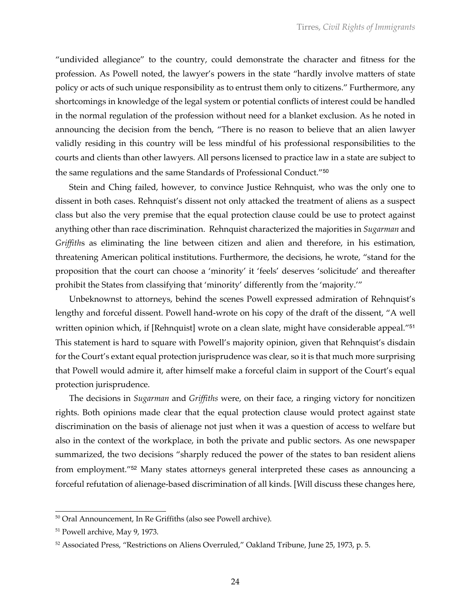"undivided allegiance" to the country, could demonstrate the character and fitness for the profession. As Powell noted, the lawyer's powers in the state "hardly involve matters of state policy or acts of such unique responsibility as to entrust them only to citizens." Furthermore, any shortcomings in knowledge of the legal system or potential conflicts of interest could be handled in the normal regulation of the profession without need for a blanket exclusion. As he noted in announcing the decision from the bench, "There is no reason to believe that an alien lawyer validly residing in this country will be less mindful of his professional responsibilities to the courts and clients than other lawyers. All persons licensed to practice law in a state are subject to the same regulations and the same Standards of Professional Conduct."<sup>50</sup>

Stein and Ching failed, however, to convince Justice Rehnquist, who was the only one to dissent in both cases. Rehnquist's dissent not only attacked the treatment of aliens as a suspect class but also the very premise that the equal protection clause could be use to protect against anything other than race discrimination. Rehnquist characterized the majorities in *Sugarman* and *Griffith*s as eliminating the line between citizen and alien and therefore, in his estimation, threatening American political institutions. Furthermore, the decisions, he wrote, "stand for the proposition that the court can choose a 'minority' it 'feels' deserves 'solicitude' and thereafter prohibit the States from classifying that 'minority' differently from the 'majority.'"

Unbeknownst to attorneys, behind the scenes Powell expressed admiration of Rehnquist's lengthy and forceful dissent. Powell hand-wrote on his copy of the draft of the dissent, "A well written opinion which, if [Rehnquist] wrote on a clean slate, might have considerable appeal."<sup>51</sup> This statement is hard to square with Powell's majority opinion, given that Rehnquist's disdain for the Court's extant equal protection jurisprudence was clear, so it is that much more surprising that Powell would admire it, after himself make a forceful claim in support of the Court's equal protection jurisprudence.

The decisions in *Sugarman* and *Griffiths* were, on their face, a ringing victory for noncitizen rights. Both opinions made clear that the equal protection clause would protect against state discrimination on the basis of alienage not just when it was a question of access to welfare but also in the context of the workplace, in both the private and public sectors. As one newspaper summarized, the two decisions "sharply reduced the power of the states to ban resident aliens from employment."<sup>52</sup> Many states attorneys general interpreted these cases as announcing a forceful refutation of alienage-based discrimination of all kinds. [Will discuss these changes here,

<sup>50</sup> Oral Announcement, In Re Griffiths (also see Powell archive).

<sup>51</sup> Powell archive, May 9, 1973.

 $52$  Associated Press, "Restrictions on Aliens Overruled," Oakland Tribune, June 25, 1973, p. 5.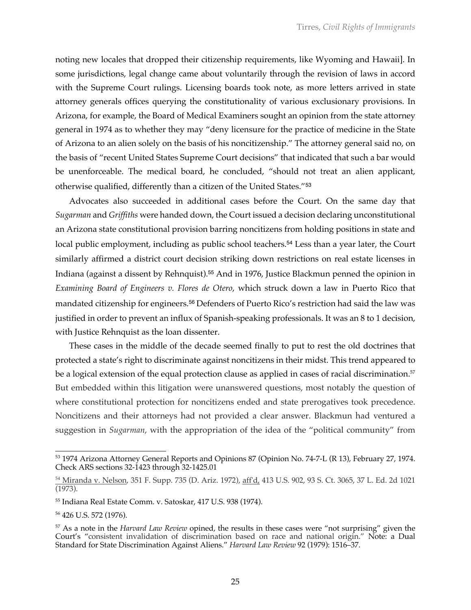noting new locales that dropped their citizenship requirements, like Wyoming and Hawaii]. In some jurisdictions, legal change came about voluntarily through the revision of laws in accord with the Supreme Court rulings. Licensing boards took note, as more letters arrived in state attorney generals offices querying the constitutionality of various exclusionary provisions. In Arizona, for example, the Board of Medical Examiners sought an opinion from the state attorney general in 1974 as to whether they may "deny licensure for the practice of medicine in the State of Arizona to an alien solely on the basis of his noncitizenship." The attorney general said no, on the basis of "recent United States Supreme Court decisions" that indicated that such a bar would be unenforceable. The medical board, he concluded, "should not treat an alien applicant, otherwise qualified, differently than a citizen of the United States."<sup>53</sup>

Advocates also succeeded in additional cases before the Court. On the same day that *Sugarman* and *Griffiths* were handed down, the Court issued a decision declaring unconstitutional an Arizona state constitutional provision barring noncitizens from holding positions in state and local public employment, including as public school teachers.<sup>54</sup> Less than a year later, the Court similarly affirmed a district court decision striking down restrictions on real estate licenses in Indiana (against a dissent by Rehnquist).<sup>55</sup> And in 1976, Justice Blackmun penned the opinion in *Examining Board of Engineers v. Flores de Otero*, which struck down a law in Puerto Rico that mandated citizenship for engineers.<sup>56</sup> Defenders of Puerto Rico's restriction had said the law was justified in order to prevent an influx of Spanish-speaking professionals. It was an 8 to 1 decision, with Justice Rehnquist as the loan dissenter.

These cases in the middle of the decade seemed finally to put to rest the old doctrines that protected a state's right to discriminate against noncitizens in their midst. This trend appeared to be a logical extension of the equal protection clause as applied in cases of racial discrimination.<sup>57</sup> But embedded within this litigation were unanswered questions, most notably the question of where constitutional protection for noncitizens ended and state prerogatives took precedence. Noncitizens and their attorneys had not provided a clear answer. Blackmun had ventured a suggestion in *Sugarman*, with the appropriation of the idea of the "political community" from

<sup>53</sup> 1974 Arizona Attorney General Reports and Opinions 87 (Opinion No. 74-7-L (R 13), February 27, 1974. Check ARS sections 32-1423 through 32-1425.01

<sup>&</sup>lt;sup>54</sup> Miranda v. Nelson, 351 F. Supp. 735 (D. Ariz. 1972), aff'd, 413 U.S. 902, 93 S. Ct. 3065, 37 L. Ed. 2d 1021 (1973).

<sup>55</sup> Indiana Real Estate Comm. v. Satoskar, 417 U.S. 938 (1974).

<sup>56</sup> 426 U.S. 572 (1976).

<sup>57</sup> As a note in the *Harvard Law Review* opined, the results in these cases were "not surprising" given the Court's "consistent invalidation of discrimination based on race and national origin." Note: a Dual Standard for State Discrimination Against Aliens." *Harvard Law Review* 92 (1979): 1516–37.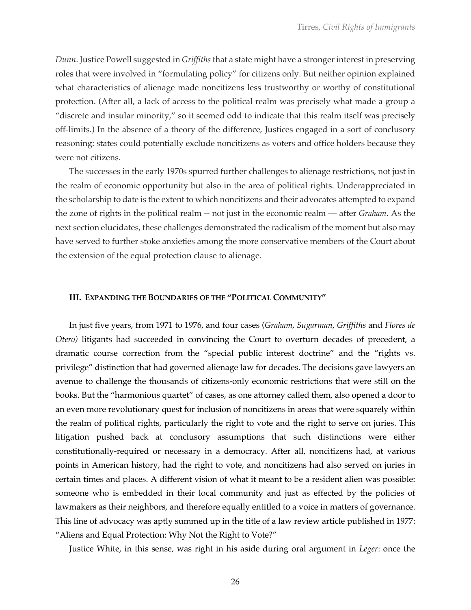*Dunn*. Justice Powell suggested in *Griffiths*that a state might have a stronger interest in preserving roles that were involved in "formulating policy" for citizens only. But neither opinion explained what characteristics of alienage made noncitizens less trustworthy or worthy of constitutional protection. (After all, a lack of access to the political realm was precisely what made a group a "discrete and insular minority," so it seemed odd to indicate that this realm itself was precisely off-limits.) In the absence of a theory of the difference, Justices engaged in a sort of conclusory reasoning: states could potentially exclude noncitizens as voters and office holders because they were not citizens.

The successes in the early 1970s spurred further challenges to alienage restrictions, not just in the realm of economic opportunity but also in the area of political rights. Underappreciated in the scholarship to date is the extent to which noncitizens and their advocates attempted to expand the zone of rights in the political realm -- not just in the economic realm — after *Graham*. As the next section elucidates, these challenges demonstrated the radicalism of the moment but also may have served to further stoke anxieties among the more conservative members of the Court about the extension of the equal protection clause to alienage.

#### **III. EXPANDING THE BOUNDARIES OF THE "POLITICAL COMMUNITY"**

In just five years, from 1971 to 1976, and four cases (*Graham*, *Sugarman*, *Griffiths* and *Flores de Otero)* litigants had succeeded in convincing the Court to overturn decades of precedent, a dramatic course correction from the "special public interest doctrine" and the "rights vs. privilege" distinction that had governed alienage law for decades. The decisions gave lawyers an avenue to challenge the thousands of citizens-only economic restrictions that were still on the books. But the "harmonious quartet" of cases, as one attorney called them, also opened a door to an even more revolutionary quest for inclusion of noncitizens in areas that were squarely within the realm of political rights, particularly the right to vote and the right to serve on juries. This litigation pushed back at conclusory assumptions that such distinctions were either constitutionally-required or necessary in a democracy. After all, noncitizens had, at various points in American history, had the right to vote, and noncitizens had also served on juries in certain times and places. A different vision of what it meant to be a resident alien was possible: someone who is embedded in their local community and just as effected by the policies of lawmakers as their neighbors, and therefore equally entitled to a voice in matters of governance. This line of advocacy was aptly summed up in the title of a law review article published in 1977: "Aliens and Equal Protection: Why Not the Right to Vote?"

Justice White, in this sense, was right in his aside during oral argument in *Leger*: once the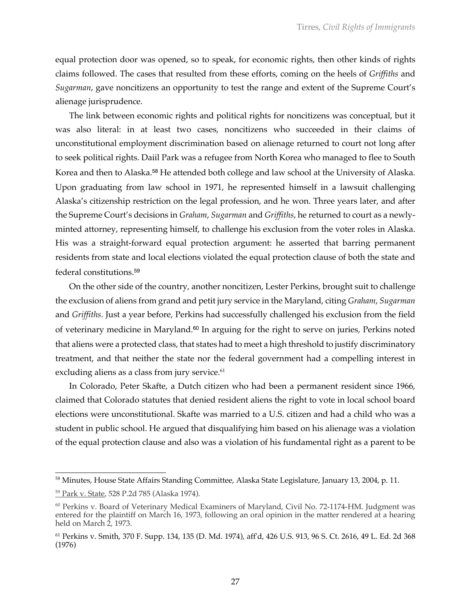equal protection door was opened, so to speak, for economic rights, then other kinds of rights claims followed. The cases that resulted from these efforts, coming on the heels of *Griffiths* and *Sugarman*, gave noncitizens an opportunity to test the range and extent of the Supreme Court's alienage jurisprudence.

The link between economic rights and political rights for noncitizens was conceptual, but it was also literal: in at least two cases, noncitizens who succeeded in their claims of unconstitutional employment discrimination based on alienage returned to court not long after to seek political rights. Daiil Park was a refugee from North Korea who managed to flee to South Korea and then to Alaska.<sup>58</sup> He attended both college and law school at the University of Alaska. Upon graduating from law school in 1971, he represented himself in a lawsuit challenging Alaska's citizenship restriction on the legal profession, and he won. Three years later, and after the Supreme Court's decisions in *Graham*, *Sugarman* and *Griffiths*, he returned to court as a newlyminted attorney, representing himself, to challenge his exclusion from the voter roles in Alaska. His was a straight-forward equal protection argument: he asserted that barring permanent residents from state and local elections violated the equal protection clause of both the state and federal constitutions.<sup>59</sup>

On the other side of the country, another noncitizen, Lester Perkins, brought suit to challenge the exclusion of aliens from grand and petit jury service in the Maryland, citing *Graham*, *Sugarman* and *Griffiths*. Just a year before, Perkins had successfully challenged his exclusion from the field of veterinary medicine in Maryland.<sup>60</sup> In arguing for the right to serve on juries, Perkins noted that aliens were a protected class, that states had to meet a high threshold to justify discriminatory treatment, and that neither the state nor the federal government had a compelling interest in excluding aliens as a class from jury service.<sup>61</sup>

In Colorado, Peter Skafte, a Dutch citizen who had been a permanent resident since 1966, claimed that Colorado statutes that denied resident aliens the right to vote in local school board elections were unconstitutional. Skafte was married to a U.S. citizen and had a child who was a student in public school. He argued that disqualifying him based on his alienage was a violation of the equal protection clause and also was a violation of his fundamental right as a parent to be

<sup>58</sup> Minutes, House State Affairs Standing Committee, Alaska State Legislature, January 13, 2004, p. 11.

<sup>59</sup> Park v. State, 528 P.2d 785 (Alaska 1974).

<sup>&</sup>lt;sup>60</sup> Perkins v. Board of Veterinary Medical Examiners of Maryland, Civil No. 72-1174-HM. Judgment was entered for the plaintiff on March 16, 1973, following an oral opinion in the matter rendered at a hearing held on March 2, 1973.

<sup>61</sup> Perkins v. Smith, 370 F. Supp. 134, 135 (D. Md. 1974), aff'd, 426 U.S. 913, 96 S. Ct. 2616, 49 L. Ed. 2d 368 (1976)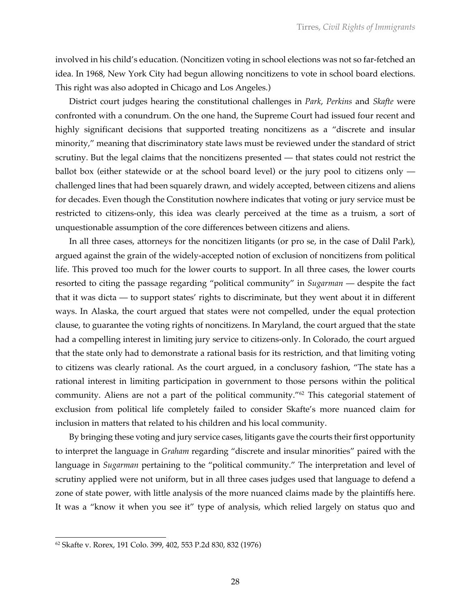involved in his child's education. (Noncitizen voting in school elections was not so far-fetched an idea. In 1968, New York City had begun allowing noncitizens to vote in school board elections. This right was also adopted in Chicago and Los Angeles.)

District court judges hearing the constitutional challenges in *Park*, *Perkins* and *Skafte* were confronted with a conundrum. On the one hand, the Supreme Court had issued four recent and highly significant decisions that supported treating noncitizens as a "discrete and insular minority," meaning that discriminatory state laws must be reviewed under the standard of strict scrutiny. But the legal claims that the noncitizens presented — that states could not restrict the ballot box (either statewide or at the school board level) or the jury pool to citizens only challenged lines that had been squarely drawn, and widely accepted, between citizens and aliens for decades. Even though the Constitution nowhere indicates that voting or jury service must be restricted to citizens-only, this idea was clearly perceived at the time as a truism, a sort of unquestionable assumption of the core differences between citizens and aliens.

In all three cases, attorneys for the noncitizen litigants (or pro se, in the case of Dalil Park), argued against the grain of the widely-accepted notion of exclusion of noncitizens from political life. This proved too much for the lower courts to support. In all three cases, the lower courts resorted to citing the passage regarding "political community" in *Sugarman* — despite the fact that it was dicta — to support states' rights to discriminate, but they went about it in different ways. In Alaska, the court argued that states were not compelled, under the equal protection clause, to guarantee the voting rights of noncitizens. In Maryland, the court argued that the state had a compelling interest in limiting jury service to citizens-only. In Colorado, the court argued that the state only had to demonstrate a rational basis for its restriction, and that limiting voting to citizens was clearly rational. As the court argued, in a conclusory fashion, "The state has a rational interest in limiting participation in government to those persons within the political community. Aliens are not a part of the political community."<sup>62</sup> This categorial statement of exclusion from political life completely failed to consider Skafte's more nuanced claim for inclusion in matters that related to his children and his local community.

By bringing these voting and jury service cases, litigants gave the courts their first opportunity to interpret the language in *Graham* regarding "discrete and insular minorities" paired with the language in *Sugarman* pertaining to the "political community." The interpretation and level of scrutiny applied were not uniform, but in all three cases judges used that language to defend a zone of state power, with little analysis of the more nuanced claims made by the plaintiffs here. It was a "know it when you see it" type of analysis, which relied largely on status quo and

<sup>62</sup> Skafte v. Rorex, 191 Colo. 399, 402, 553 P.2d 830, 832 (1976)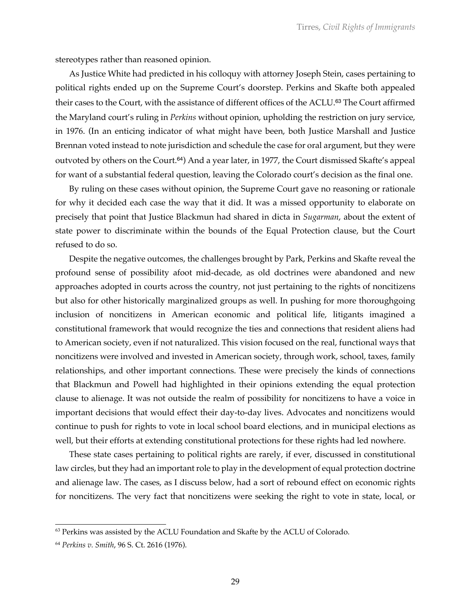stereotypes rather than reasoned opinion.

As Justice White had predicted in his colloquy with attorney Joseph Stein, cases pertaining to political rights ended up on the Supreme Court's doorstep. Perkins and Skafte both appealed their cases to the Court, with the assistance of different offices of the ACLU.<sup>63</sup> The Court affirmed the Maryland court's ruling in *Perkins* without opinion, upholding the restriction on jury service, in 1976. (In an enticing indicator of what might have been, both Justice Marshall and Justice Brennan voted instead to note jurisdiction and schedule the case for oral argument, but they were outvoted by others on the Court.<sup>64</sup>) And a year later, in 1977, the Court dismissed Skafte's appeal for want of a substantial federal question, leaving the Colorado court's decision as the final one.

By ruling on these cases without opinion, the Supreme Court gave no reasoning or rationale for why it decided each case the way that it did. It was a missed opportunity to elaborate on precisely that point that Justice Blackmun had shared in dicta in *Sugarman*, about the extent of state power to discriminate within the bounds of the Equal Protection clause, but the Court refused to do so.

Despite the negative outcomes, the challenges brought by Park, Perkins and Skafte reveal the profound sense of possibility afoot mid-decade, as old doctrines were abandoned and new approaches adopted in courts across the country, not just pertaining to the rights of noncitizens but also for other historically marginalized groups as well. In pushing for more thoroughgoing inclusion of noncitizens in American economic and political life, litigants imagined a constitutional framework that would recognize the ties and connections that resident aliens had to American society, even if not naturalized. This vision focused on the real, functional ways that noncitizens were involved and invested in American society, through work, school, taxes, family relationships, and other important connections. These were precisely the kinds of connections that Blackmun and Powell had highlighted in their opinions extending the equal protection clause to alienage. It was not outside the realm of possibility for noncitizens to have a voice in important decisions that would effect their day-to-day lives. Advocates and noncitizens would continue to push for rights to vote in local school board elections, and in municipal elections as well, but their efforts at extending constitutional protections for these rights had led nowhere.

These state cases pertaining to political rights are rarely, if ever, discussed in constitutional law circles, but they had an important role to play in the development of equal protection doctrine and alienage law. The cases, as I discuss below, had a sort of rebound effect on economic rights for noncitizens. The very fact that noncitizens were seeking the right to vote in state, local, or

 $63$  Perkins was assisted by the ACLU Foundation and Skafte by the ACLU of Colorado.

<sup>64</sup> *Perkins v. Smith*, 96 S. Ct. 2616 (1976).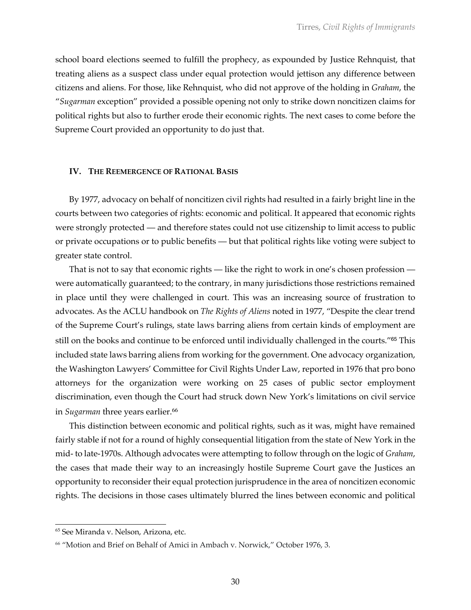school board elections seemed to fulfill the prophecy, as expounded by Justice Rehnquist, that treating aliens as a suspect class under equal protection would jettison any difference between citizens and aliens. For those, like Rehnquist, who did not approve of the holding in *Graham*, the "*Sugarman* exception" provided a possible opening not only to strike down noncitizen claims for political rights but also to further erode their economic rights. The next cases to come before the Supreme Court provided an opportunity to do just that.

### **IV. THE REEMERGENCE OF RATIONAL BASIS**

By 1977, advocacy on behalf of noncitizen civil rights had resulted in a fairly bright line in the courts between two categories of rights: economic and political. It appeared that economic rights were strongly protected — and therefore states could not use citizenship to limit access to public or private occupations or to public benefits — but that political rights like voting were subject to greater state control.

That is not to say that economic rights — like the right to work in one's chosen profession were automatically guaranteed; to the contrary, in many jurisdictions those restrictions remained in place until they were challenged in court. This was an increasing source of frustration to advocates. As the ACLU handbook on *The Rights of Aliens* noted in 1977, "Despite the clear trend of the Supreme Court's rulings, state laws barring aliens from certain kinds of employment are still on the books and continue to be enforced until individually challenged in the courts."<sup>65</sup> This included state laws barring aliens from working for the government. One advocacy organization, the Washington Lawyers' Committee for Civil Rights Under Law, reported in 1976 that pro bono attorneys for the organization were working on 25 cases of public sector employment discrimination, even though the Court had struck down New York's limitations on civil service in *Sugarman* three years earlier.<sup>66</sup>

This distinction between economic and political rights, such as it was, might have remained fairly stable if not for a round of highly consequential litigation from the state of New York in the mid- to late-1970s. Although advocates were attempting to follow through on the logic of *Graham*, the cases that made their way to an increasingly hostile Supreme Court gave the Justices an opportunity to reconsider their equal protection jurisprudence in the area of noncitizen economic rights. The decisions in those cases ultimately blurred the lines between economic and political

<sup>65</sup> See Miranda v. Nelson, Arizona, etc.

<sup>66</sup> "Motion and Brief on Behalf of Amici in Ambach v. Norwick," October 1976, 3.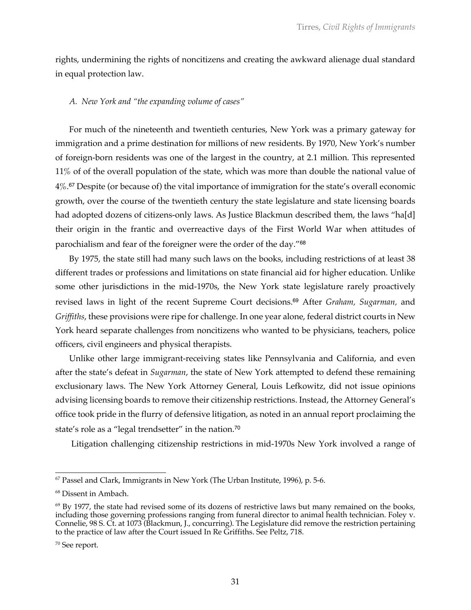rights, undermining the rights of noncitizens and creating the awkward alienage dual standard in equal protection law.

## *A. New York and "the expanding volume of cases"*

For much of the nineteenth and twentieth centuries, New York was a primary gateway for immigration and a prime destination for millions of new residents. By 1970, New York's number of foreign-born residents was one of the largest in the country, at 2.1 million. This represented 11% of of the overall population of the state, which was more than double the national value of  $4\%$ .<sup>67</sup> Despite (or because of) the vital importance of immigration for the state's overall economic growth, over the course of the twentieth century the state legislature and state licensing boards had adopted dozens of citizens-only laws. As Justice Blackmun described them, the laws "ha[d] their origin in the frantic and overreactive days of the First World War when attitudes of parochialism and fear of the foreigner were the order of the day."<sup>68</sup>

By 1975, the state still had many such laws on the books, including restrictions of at least 38 different trades or professions and limitations on state financial aid for higher education. Unlike some other jurisdictions in the mid-1970s, the New York state legislature rarely proactively revised laws in light of the recent Supreme Court decisions.<sup>69</sup> After *Graham, Sugarman,* and *Griffiths*, these provisions were ripe for challenge. In one year alone, federal district courts in New York heard separate challenges from noncitizens who wanted to be physicians, teachers, police officers, civil engineers and physical therapists.

Unlike other large immigrant-receiving states like Pennsylvania and California, and even after the state's defeat in *Sugarman*, the state of New York attempted to defend these remaining exclusionary laws. The New York Attorney General, Louis Lefkowitz, did not issue opinions advising licensing boards to remove their citizenship restrictions. Instead, the Attorney General's office took pride in the flurry of defensive litigation, as noted in an annual report proclaiming the state's role as a "legal trendsetter" in the nation.<sup>70</sup>

Litigation challenging citizenship restrictions in mid-1970s New York involved a range of

<sup>67</sup> Passel and Clark, Immigrants in New York (The Urban Institute, 1996), p. 5-6.

<sup>68</sup> Dissent in Ambach.

 $69$  By 1977, the state had revised some of its dozens of restrictive laws but many remained on the books, including those governing professions ranging from funeral director to animal health technician. Foley v. Connelie, 98 S. Ct. at 1073 (Blackmun, J., concurring). The Legislature did remove the restriction pertaining to the practice of law after the Court issued In Re Griffiths. See Peltz, 718.

<sup>70</sup> See report.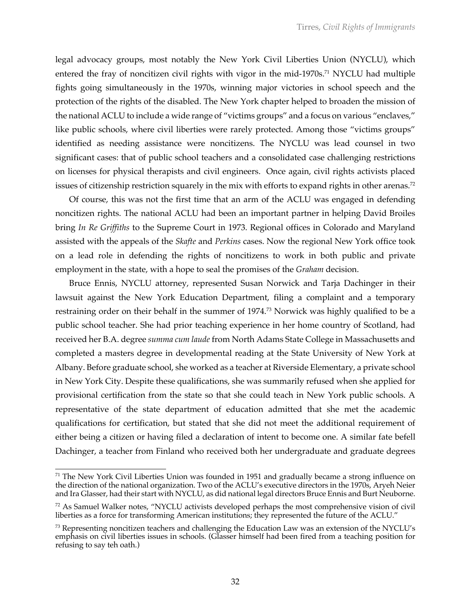legal advocacy groups, most notably the New York Civil Liberties Union (NYCLU), which entered the fray of noncitizen civil rights with vigor in the mid-1970s.<sup>71</sup> NYCLU had multiple fights going simultaneously in the 1970s, winning major victories in school speech and the protection of the rights of the disabled. The New York chapter helped to broaden the mission of the national ACLU to include a wide range of "victims groups" and a focus on various "enclaves," like public schools, where civil liberties were rarely protected. Among those "victims groups" identified as needing assistance were noncitizens. The NYCLU was lead counsel in two significant cases: that of public school teachers and a consolidated case challenging restrictions on licenses for physical therapists and civil engineers. Once again, civil rights activists placed issues of citizenship restriction squarely in the mix with efforts to expand rights in other arenas.<sup>72</sup>

Of course, this was not the first time that an arm of the ACLU was engaged in defending noncitizen rights. The national ACLU had been an important partner in helping David Broiles bring *In Re Griffiths* to the Supreme Court in 1973. Regional offices in Colorado and Maryland assisted with the appeals of the *Skafte* and *Perkins* cases. Now the regional New York office took on a lead role in defending the rights of noncitizens to work in both public and private employment in the state, with a hope to seal the promises of the *Graham* decision.

Bruce Ennis, NYCLU attorney, represented Susan Norwick and Tarja Dachinger in their lawsuit against the New York Education Department, filing a complaint and a temporary restraining order on their behalf in the summer of 1974.73 Norwick was highly qualified to be a public school teacher. She had prior teaching experience in her home country of Scotland, had received her B.A. degree *summa cum laude* from North Adams State College in Massachusetts and completed a masters degree in developmental reading at the State University of New York at Albany. Before graduate school, she worked as a teacher at Riverside Elementary, a private school in New York City. Despite these qualifications, she was summarily refused when she applied for provisional certification from the state so that she could teach in New York public schools. A representative of the state department of education admitted that she met the academic qualifications for certification, but stated that she did not meet the additional requirement of either being a citizen or having filed a declaration of intent to become one. A similar fate befell Dachinger, a teacher from Finland who received both her undergraduate and graduate degrees

 $71$  The New York Civil Liberties Union was founded in 1951 and gradually became a strong influence on the direction of the national organization. Two of the ACLU's executive directors in the 1970s, Aryeh Neier and Ira Glasser, had their start with NYCLU, as did national legal directors Bruce Ennis and Burt Neuborne.

<sup>72</sup> As Samuel Walker notes, "NYCLU activists developed perhaps the most comprehensive vision of civil liberties as a force for transforming American institutions; they represented the future of the ACLU."

 $73$  Representing noncitizen teachers and challenging the Education Law was an extension of the NYCLU's emphasis on civil liberties issues in schools. (Glasser himself had been fired from a teaching position for refusing to say teh oath.)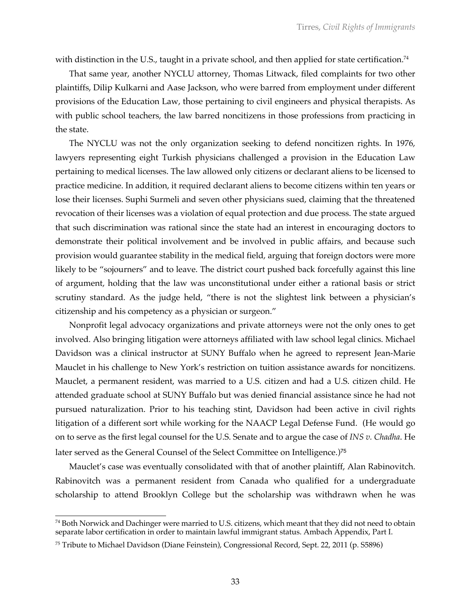with distinction in the U.S., taught in a private school, and then applied for state certification.<sup>74</sup>

That same year, another NYCLU attorney, Thomas Litwack, filed complaints for two other plaintiffs, Dilip Kulkarni and Aase Jackson, who were barred from employment under different provisions of the Education Law, those pertaining to civil engineers and physical therapists. As with public school teachers, the law barred noncitizens in those professions from practicing in the state.

The NYCLU was not the only organization seeking to defend noncitizen rights. In 1976, lawyers representing eight Turkish physicians challenged a provision in the Education Law pertaining to medical licenses. The law allowed only citizens or declarant aliens to be licensed to practice medicine. In addition, it required declarant aliens to become citizens within ten years or lose their licenses. Suphi Surmeli and seven other physicians sued, claiming that the threatened revocation of their licenses was a violation of equal protection and due process. The state argued that such discrimination was rational since the state had an interest in encouraging doctors to demonstrate their political involvement and be involved in public affairs, and because such provision would guarantee stability in the medical field, arguing that foreign doctors were more likely to be "sojourners" and to leave. The district court pushed back forcefully against this line of argument, holding that the law was unconstitutional under either a rational basis or strict scrutiny standard. As the judge held, "there is not the slightest link between a physician's citizenship and his competency as a physician or surgeon."

Nonprofit legal advocacy organizations and private attorneys were not the only ones to get involved. Also bringing litigation were attorneys affiliated with law school legal clinics. Michael Davidson was a clinical instructor at SUNY Buffalo when he agreed to represent Jean-Marie Mauclet in his challenge to New York's restriction on tuition assistance awards for noncitizens. Mauclet, a permanent resident, was married to a U.S. citizen and had a U.S. citizen child. He attended graduate school at SUNY Buffalo but was denied financial assistance since he had not pursued naturalization. Prior to his teaching stint, Davidson had been active in civil rights litigation of a different sort while working for the NAACP Legal Defense Fund. (He would go on to serve as the first legal counsel for the U.S. Senate and to argue the case of *INS v. Chadha*. He later served as the General Counsel of the Select Committee on Intelligence.)<sup>75</sup>

Mauclet's case was eventually consolidated with that of another plaintiff, Alan Rabinovitch. Rabinovitch was a permanent resident from Canada who qualified for a undergraduate scholarship to attend Brooklyn College but the scholarship was withdrawn when he was

<sup>&</sup>lt;sup>74</sup> Both Norwick and Dachinger were married to U.S. citizens, which meant that they did not need to obtain separate labor certification in order to maintain lawful immigrant status. Ambach Appendix, Part I.

<sup>75</sup> Tribute to Michael Davidson (Diane Feinstein), Congressional Record, Sept. 22, 2011 (p. S5896)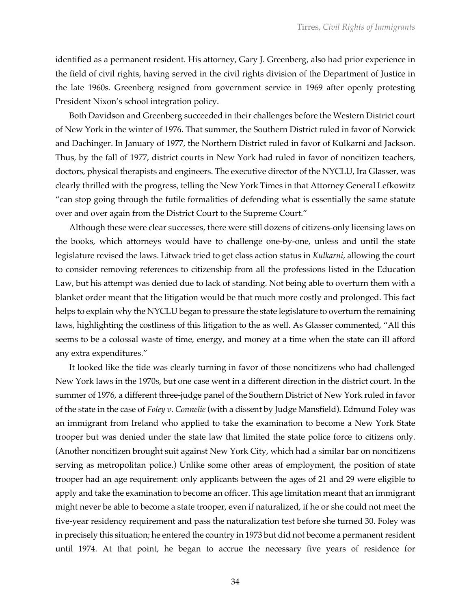identified as a permanent resident. His attorney, Gary J. Greenberg, also had prior experience in the field of civil rights, having served in the civil rights division of the Department of Justice in the late 1960s. Greenberg resigned from government service in 1969 after openly protesting President Nixon's school integration policy.

Both Davidson and Greenberg succeeded in their challenges before the Western District court of New York in the winter of 1976. That summer, the Southern District ruled in favor of Norwick and Dachinger. In January of 1977, the Northern District ruled in favor of Kulkarni and Jackson. Thus, by the fall of 1977, district courts in New York had ruled in favor of noncitizen teachers, doctors, physical therapists and engineers. The executive director of the NYCLU, Ira Glasser, was clearly thrilled with the progress, telling the New York Times in that Attorney General Lefkowitz "can stop going through the futile formalities of defending what is essentially the same statute over and over again from the District Court to the Supreme Court."

Although these were clear successes, there were still dozens of citizens-only licensing laws on the books, which attorneys would have to challenge one-by-one, unless and until the state legislature revised the laws. Litwack tried to get class action status in *Kulkarni*, allowing the court to consider removing references to citizenship from all the professions listed in the Education Law, but his attempt was denied due to lack of standing. Not being able to overturn them with a blanket order meant that the litigation would be that much more costly and prolonged. This fact helps to explain why the NYCLU began to pressure the state legislature to overturn the remaining laws, highlighting the costliness of this litigation to the as well. As Glasser commented, "All this seems to be a colossal waste of time, energy, and money at a time when the state can ill afford any extra expenditures."

It looked like the tide was clearly turning in favor of those noncitizens who had challenged New York laws in the 1970s, but one case went in a different direction in the district court. In the summer of 1976, a different three-judge panel of the Southern District of New York ruled in favor of the state in the case of *Foley v. Connelie* (with a dissent by Judge Mansfield). Edmund Foley was an immigrant from Ireland who applied to take the examination to become a New York State trooper but was denied under the state law that limited the state police force to citizens only. (Another noncitizen brought suit against New York City, which had a similar bar on noncitizens serving as metropolitan police.) Unlike some other areas of employment, the position of state trooper had an age requirement: only applicants between the ages of 21 and 29 were eligible to apply and take the examination to become an officer. This age limitation meant that an immigrant might never be able to become a state trooper, even if naturalized, if he or she could not meet the five-year residency requirement and pass the naturalization test before she turned 30. Foley was in precisely this situation; he entered the country in 1973 but did not become a permanent resident until 1974. At that point, he began to accrue the necessary five years of residence for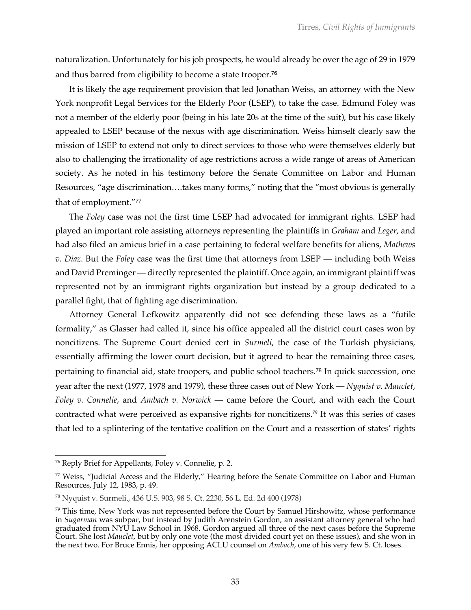naturalization. Unfortunately for his job prospects, he would already be over the age of 29 in 1979 and thus barred from eligibility to become a state trooper.<sup>76</sup>

It is likely the age requirement provision that led Jonathan Weiss, an attorney with the New York nonprofit Legal Services for the Elderly Poor (LSEP), to take the case. Edmund Foley was not a member of the elderly poor (being in his late 20s at the time of the suit), but his case likely appealed to LSEP because of the nexus with age discrimination. Weiss himself clearly saw the mission of LSEP to extend not only to direct services to those who were themselves elderly but also to challenging the irrationality of age restrictions across a wide range of areas of American society. As he noted in his testimony before the Senate Committee on Labor and Human Resources, "age discrimination….takes many forms," noting that the "most obvious is generally that of employment."<sup>77</sup>

The *Foley* case was not the first time LSEP had advocated for immigrant rights. LSEP had played an important role assisting attorneys representing the plaintiffs in *Graham* and *Leger*, and had also filed an amicus brief in a case pertaining to federal welfare benefits for aliens, *Mathews v. Diaz*. But the *Foley* case was the first time that attorneys from LSEP — including both Weiss and David Preminger — directly represented the plaintiff. Once again, an immigrant plaintiff was represented not by an immigrant rights organization but instead by a group dedicated to a parallel fight, that of fighting age discrimination.

Attorney General Lefkowitz apparently did not see defending these laws as a "futile formality," as Glasser had called it, since his office appealed all the district court cases won by noncitizens. The Supreme Court denied cert in *Surmeli*, the case of the Turkish physicians, essentially affirming the lower court decision, but it agreed to hear the remaining three cases, pertaining to financial aid, state troopers, and public school teachers.<sup>78</sup> In quick succession, one year after the next (1977, 1978 and 1979), these three cases out of New York — *Nyquist v. Mauclet*, *Foley v. Connelie*, and *Ambach v. Norwick* — came before the Court, and with each the Court contracted what were perceived as expansive rights for noncitizens.<sup>79</sup> It was this series of cases that led to a splintering of the tentative coalition on the Court and a reassertion of states' rights

<sup>76</sup> Reply Brief for Appellants, Foley v. Connelie, p. 2.

 $77$  Weiss, "Judicial Access and the Elderly," Hearing before the Senate Committee on Labor and Human Resources, July 12, 1983, p. 49.

<sup>78</sup> Nyquist v. Surmeli., 436 U.S. 903, 98 S. Ct. 2230, 56 L. Ed. 2d 400 (1978)

 $79$  This time, New York was not represented before the Court by Samuel Hirshowitz, whose performance in *Sugarman* was subpar, but instead by Judith Arenstein Gordon, an assistant attorney general who had graduated from NYU Law School in 1968. Gordon argued all three of the next cases before the Supreme Court. She lost *Mauclet*, but by only one vote (the most divided court yet on these issues), and she won in the next two. For Bruce Ennis, her opposing ACLU counsel on *Ambach*, one of his very few S. Ct. loses.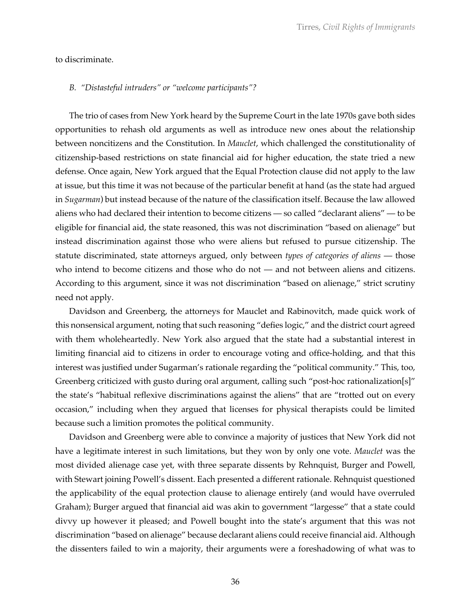to discriminate.

#### *B. "Distasteful intruders" or "welcome participants"?*

The trio of cases from New York heard by the Supreme Court in the late 1970s gave both sides opportunities to rehash old arguments as well as introduce new ones about the relationship between noncitizens and the Constitution. In *Mauclet*, which challenged the constitutionality of citizenship-based restrictions on state financial aid for higher education, the state tried a new defense. Once again, New York argued that the Equal Protection clause did not apply to the law at issue, but this time it was not because of the particular benefit at hand (as the state had argued in *Sugarman*) but instead because of the nature of the classification itself. Because the law allowed aliens who had declared their intention to become citizens — so called "declarant aliens" — to be eligible for financial aid, the state reasoned, this was not discrimination "based on alienage" but instead discrimination against those who were aliens but refused to pursue citizenship. The statute discriminated, state attorneys argued, only between *types of categories of aliens* — those who intend to become citizens and those who do not — and not between aliens and citizens. According to this argument, since it was not discrimination "based on alienage," strict scrutiny need not apply.

Davidson and Greenberg, the attorneys for Mauclet and Rabinovitch, made quick work of this nonsensical argument, noting that such reasoning "defies logic," and the district court agreed with them wholeheartedly. New York also argued that the state had a substantial interest in limiting financial aid to citizens in order to encourage voting and office-holding, and that this interest was justified under Sugarman's rationale regarding the "political community." This, too, Greenberg criticized with gusto during oral argument, calling such "post-hoc rationalization[s]" the state's "habitual reflexive discriminations against the aliens" that are "trotted out on every occasion," including when they argued that licenses for physical therapists could be limited because such a limition promotes the political community.

Davidson and Greenberg were able to convince a majority of justices that New York did not have a legitimate interest in such limitations, but they won by only one vote. *Mauclet* was the most divided alienage case yet, with three separate dissents by Rehnquist, Burger and Powell, with Stewart joining Powell's dissent. Each presented a different rationale. Rehnquist questioned the applicability of the equal protection clause to alienage entirely (and would have overruled Graham); Burger argued that financial aid was akin to government "largesse" that a state could divvy up however it pleased; and Powell bought into the state's argument that this was not discrimination "based on alienage" because declarant aliens could receive financial aid. Although the dissenters failed to win a majority, their arguments were a foreshadowing of what was to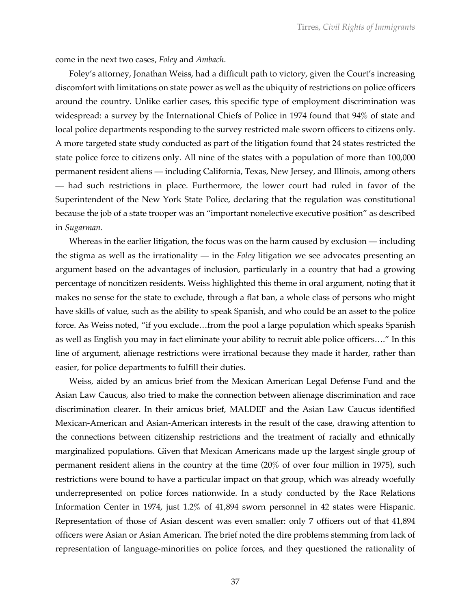come in the next two cases, *Foley* and *Ambach*.

Foley's attorney, Jonathan Weiss, had a difficult path to victory, given the Court's increasing discomfort with limitations on state power as well as the ubiquity of restrictions on police officers around the country. Unlike earlier cases, this specific type of employment discrimination was widespread: a survey by the International Chiefs of Police in 1974 found that 94% of state and local police departments responding to the survey restricted male sworn officers to citizens only. A more targeted state study conducted as part of the litigation found that 24 states restricted the state police force to citizens only. All nine of the states with a population of more than 100,000 permanent resident aliens — including California, Texas, New Jersey, and Illinois, among others — had such restrictions in place. Furthermore, the lower court had ruled in favor of the Superintendent of the New York State Police, declaring that the regulation was constitutional because the job of a state trooper was an "important nonelective executive position" as described in *Sugarman.* 

Whereas in the earlier litigation, the focus was on the harm caused by exclusion — including the stigma as well as the irrationality — in the *Foley* litigation we see advocates presenting an argument based on the advantages of inclusion, particularly in a country that had a growing percentage of noncitizen residents. Weiss highlighted this theme in oral argument, noting that it makes no sense for the state to exclude, through a flat ban, a whole class of persons who might have skills of value, such as the ability to speak Spanish, and who could be an asset to the police force. As Weiss noted, "if you exclude…from the pool a large population which speaks Spanish as well as English you may in fact eliminate your ability to recruit able police officers…." In this line of argument, alienage restrictions were irrational because they made it harder, rather than easier, for police departments to fulfill their duties.

Weiss, aided by an amicus brief from the Mexican American Legal Defense Fund and the Asian Law Caucus, also tried to make the connection between alienage discrimination and race discrimination clearer. In their amicus brief, MALDEF and the Asian Law Caucus identified Mexican-American and Asian-American interests in the result of the case, drawing attention to the connections between citizenship restrictions and the treatment of racially and ethnically marginalized populations. Given that Mexican Americans made up the largest single group of permanent resident aliens in the country at the time (20% of over four million in 1975), such restrictions were bound to have a particular impact on that group, which was already woefully underrepresented on police forces nationwide. In a study conducted by the Race Relations Information Center in 1974, just 1.2% of 41,894 sworn personnel in 42 states were Hispanic. Representation of those of Asian descent was even smaller: only 7 officers out of that 41,894 officers were Asian or Asian American. The brief noted the dire problems stemming from lack of representation of language-minorities on police forces, and they questioned the rationality of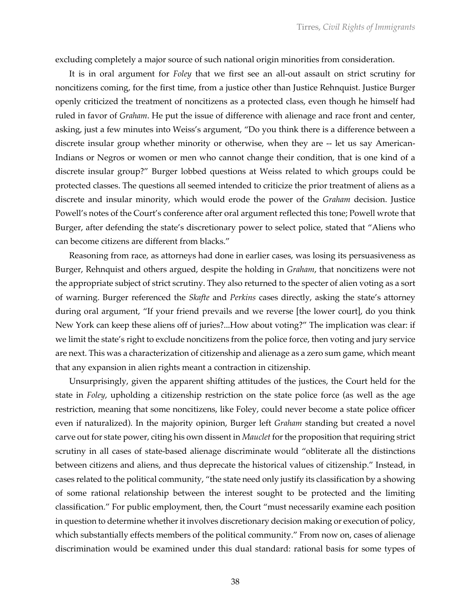excluding completely a major source of such national origin minorities from consideration.

It is in oral argument for *Foley* that we first see an all-out assault on strict scrutiny for noncitizens coming, for the first time, from a justice other than Justice Rehnquist. Justice Burger openly criticized the treatment of noncitizens as a protected class, even though he himself had ruled in favor of *Graham*. He put the issue of difference with alienage and race front and center, asking, just a few minutes into Weiss's argument, "Do you think there is a difference between a discrete insular group whether minority or otherwise, when they are -- let us say American-Indians or Negros or women or men who cannot change their condition, that is one kind of a discrete insular group?" Burger lobbed questions at Weiss related to which groups could be protected classes. The questions all seemed intended to criticize the prior treatment of aliens as a discrete and insular minority, which would erode the power of the *Graham* decision. Justice Powell's notes of the Court's conference after oral argument reflected this tone; Powell wrote that Burger, after defending the state's discretionary power to select police, stated that "Aliens who can become citizens are different from blacks."

Reasoning from race, as attorneys had done in earlier cases, was losing its persuasiveness as Burger, Rehnquist and others argued, despite the holding in *Graham*, that noncitizens were not the appropriate subject of strict scrutiny. They also returned to the specter of alien voting as a sort of warning. Burger referenced the *Skafte* and *Perkins* cases directly, asking the state's attorney during oral argument, "If your friend prevails and we reverse [the lower court], do you think New York can keep these aliens off of juries?...How about voting?" The implication was clear: if we limit the state's right to exclude noncitizens from the police force, then voting and jury service are next. This was a characterization of citizenship and alienage as a zero sum game, which meant that any expansion in alien rights meant a contraction in citizenship.

Unsurprisingly, given the apparent shifting attitudes of the justices, the Court held for the state in *Foley*, upholding a citizenship restriction on the state police force (as well as the age restriction, meaning that some noncitizens, like Foley, could never become a state police officer even if naturalized). In the majority opinion, Burger left *Graham* standing but created a novel carve out for state power, citing his own dissent in *Mauclet* for the proposition that requiring strict scrutiny in all cases of state-based alienage discriminate would "obliterate all the distinctions between citizens and aliens, and thus deprecate the historical values of citizenship." Instead, in cases related to the political community, "the state need only justify its classification by a showing of some rational relationship between the interest sought to be protected and the limiting classification." For public employment, then, the Court "must necessarily examine each position in question to determine whether it involves discretionary decision making or execution of policy, which substantially effects members of the political community." From now on, cases of alienage discrimination would be examined under this dual standard: rational basis for some types of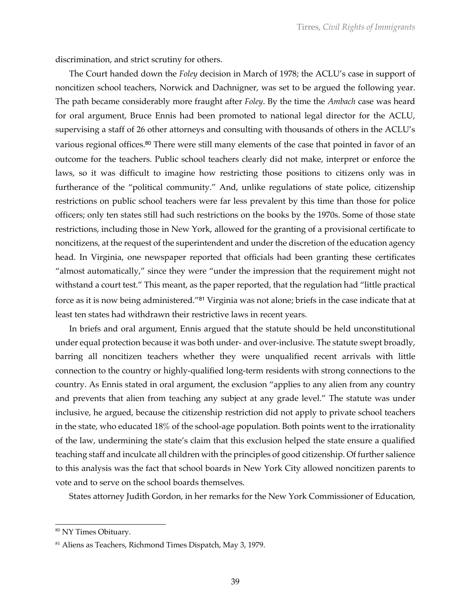discrimination, and strict scrutiny for others.

The Court handed down the *Foley* decision in March of 1978; the ACLU's case in support of noncitizen school teachers, Norwick and Dachnigner, was set to be argued the following year. The path became considerably more fraught after *Foley*. By the time the *Ambach* case was heard for oral argument, Bruce Ennis had been promoted to national legal director for the ACLU, supervising a staff of 26 other attorneys and consulting with thousands of others in the ACLU's various regional offices.<sup>80</sup> There were still many elements of the case that pointed in favor of an outcome for the teachers. Public school teachers clearly did not make, interpret or enforce the laws, so it was difficult to imagine how restricting those positions to citizens only was in furtherance of the "political community." And, unlike regulations of state police, citizenship restrictions on public school teachers were far less prevalent by this time than those for police officers; only ten states still had such restrictions on the books by the 1970s. Some of those state restrictions, including those in New York, allowed for the granting of a provisional certificate to noncitizens, at the request of the superintendent and under the discretion of the education agency head. In Virginia, one newspaper reported that officials had been granting these certificates "almost automatically," since they were "under the impression that the requirement might not withstand a court test." This meant, as the paper reported, that the regulation had "little practical force as it is now being administered."<sup>81</sup> Virginia was not alone; briefs in the case indicate that at least ten states had withdrawn their restrictive laws in recent years.

In briefs and oral argument, Ennis argued that the statute should be held unconstitutional under equal protection because it was both under- and over-inclusive. The statute swept broadly, barring all noncitizen teachers whether they were unqualified recent arrivals with little connection to the country or highly-qualified long-term residents with strong connections to the country. As Ennis stated in oral argument, the exclusion "applies to any alien from any country and prevents that alien from teaching any subject at any grade level." The statute was under inclusive, he argued, because the citizenship restriction did not apply to private school teachers in the state, who educated 18% of the school-age population. Both points went to the irrationality of the law, undermining the state's claim that this exclusion helped the state ensure a qualified teaching staff and inculcate all children with the principles of good citizenship. Of further salience to this analysis was the fact that school boards in New York City allowed noncitizen parents to vote and to serve on the school boards themselves.

States attorney Judith Gordon, in her remarks for the New York Commissioner of Education,

<sup>80</sup> NY Times Obituary.

<sup>81</sup> Aliens as Teachers, Richmond Times Dispatch, May 3, 1979.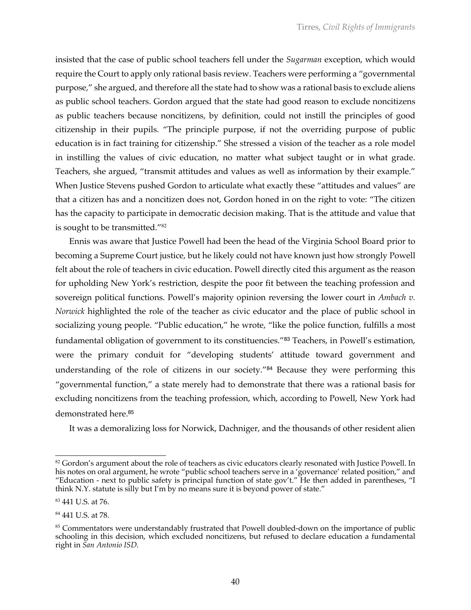insisted that the case of public school teachers fell under the *Sugarman* exception, which would require the Court to apply only rational basis review. Teachers were performing a "governmental purpose," she argued, and therefore all the state had to show was a rational basis to exclude aliens as public school teachers. Gordon argued that the state had good reason to exclude noncitizens as public teachers because noncitizens, by definition, could not instill the principles of good citizenship in their pupils. "The principle purpose, if not the overriding purpose of public education is in fact training for citizenship." She stressed a vision of the teacher as a role model in instilling the values of civic education, no matter what subject taught or in what grade. Teachers, she argued, "transmit attitudes and values as well as information by their example." When Justice Stevens pushed Gordon to articulate what exactly these "attitudes and values" are that a citizen has and a noncitizen does not, Gordon honed in on the right to vote: "The citizen has the capacity to participate in democratic decision making. That is the attitude and value that is sought to be transmitted."82

Ennis was aware that Justice Powell had been the head of the Virginia School Board prior to becoming a Supreme Court justice, but he likely could not have known just how strongly Powell felt about the role of teachers in civic education. Powell directly cited this argument as the reason for upholding New York's restriction, despite the poor fit between the teaching profession and sovereign political functions. Powell's majority opinion reversing the lower court in *Ambach v. Norwick* highlighted the role of the teacher as civic educator and the place of public school in socializing young people. "Public education," he wrote, "like the police function, fulfills a most fundamental obligation of government to its constituencies."<sup>83</sup> Teachers, in Powell's estimation, were the primary conduit for "developing students' attitude toward government and understanding of the role of citizens in our society."<sup>84</sup> Because they were performing this "governmental function," a state merely had to demonstrate that there was a rational basis for excluding noncitizens from the teaching profession, which, according to Powell, New York had demonstrated here.<sup>85</sup>

It was a demoralizing loss for Norwick, Dachniger, and the thousands of other resident alien

 $82$  Gordon's argument about the role of teachers as civic educators clearly resonated with Justice Powell. In his notes on oral argument, he wrote "public school teachers serve in a 'governance' related position," and "Education - next to public safety is principal function of state gov't." He then added in parentheses, "I think N.Y. statute is silly but I'm by no means sure it is beyond power of state."

<sup>83</sup> 441 U.S. at 76.

<sup>84</sup> 441 U.S. at 78.

<sup>&</sup>lt;sup>85</sup> Commentators were understandably frustrated that Powell doubled-down on the importance of public schooling in this decision, which excluded noncitizens, but refused to declare education a fundamental right in *San Antonio ISD*.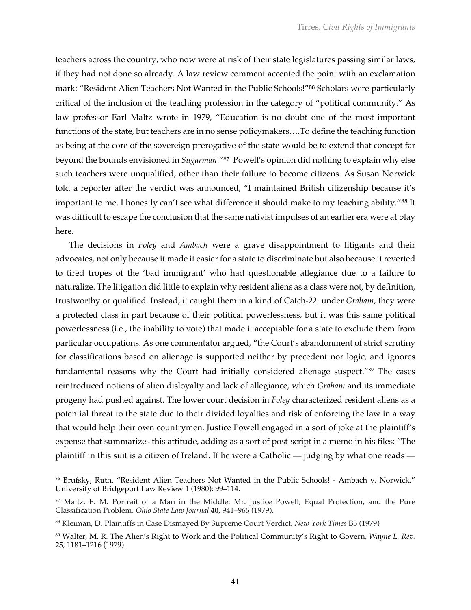teachers across the country, who now were at risk of their state legislatures passing similar laws, if they had not done so already. A law review comment accented the point with an exclamation mark: "Resident Alien Teachers Not Wanted in the Public Schools!"<sup>86</sup> Scholars were particularly critical of the inclusion of the teaching profession in the category of "political community." As law professor Earl Maltz wrote in 1979, "Education is no doubt one of the most important functions of the state, but teachers are in no sense policymakers….To define the teaching function as being at the core of the sovereign prerogative of the state would be to extend that concept far beyond the bounds envisioned in *Sugarman*."<sup>87</sup> Powell's opinion did nothing to explain why else such teachers were unqualified, other than their failure to become citizens. As Susan Norwick told a reporter after the verdict was announced, "I maintained British citizenship because it's important to me. I honestly can't see what difference it should make to my teaching ability."<sup>88</sup> It was difficult to escape the conclusion that the same nativist impulses of an earlier era were at play here.

The decisions in *Foley* and *Ambach* were a grave disappointment to litigants and their advocates, not only because it made it easier for a state to discriminate but also because it reverted to tired tropes of the 'bad immigrant' who had questionable allegiance due to a failure to naturalize. The litigation did little to explain why resident aliens as a class were not, by definition, trustworthy or qualified. Instead, it caught them in a kind of Catch-22: under *Graham*, they were a protected class in part because of their political powerlessness, but it was this same political powerlessness (i.e., the inability to vote) that made it acceptable for a state to exclude them from particular occupations. As one commentator argued, "the Court's abandonment of strict scrutiny for classifications based on alienage is supported neither by precedent nor logic, and ignores fundamental reasons why the Court had initially considered alienage suspect."<sup>89</sup> The cases reintroduced notions of alien disloyalty and lack of allegiance, which *Graham* and its immediate progeny had pushed against. The lower court decision in *Foley* characterized resident aliens as a potential threat to the state due to their divided loyalties and risk of enforcing the law in a way that would help their own countrymen. Justice Powell engaged in a sort of joke at the plaintiff's expense that summarizes this attitude, adding as a sort of post-script in a memo in his files: "The plaintiff in this suit is a citizen of Ireland. If he were a Catholic — judging by what one reads —

<sup>86</sup> Brufsky, Ruth. "Resident Alien Teachers Not Wanted in the Public Schools! - Ambach v. Norwick." University of Bridgeport Law Review 1 (1980): 99–114.

<sup>87</sup> Maltz, E. M. Portrait of a Man in the Middle: Mr. Justice Powell, Equal Protection, and the Pure Classification Problem. *Ohio State Law Journal* **40**, 941–966 (1979).

<sup>88</sup> Kleiman, D. Plaintiffs in Case Dismayed By Supreme Court Verdict. *New York Times* B3 (1979)

<sup>89</sup> Walter, M. R. The Alien's Right to Work and the Political Community's Right to Govern. *Wayne L. Rev.* **25**, 1181–1216 (1979).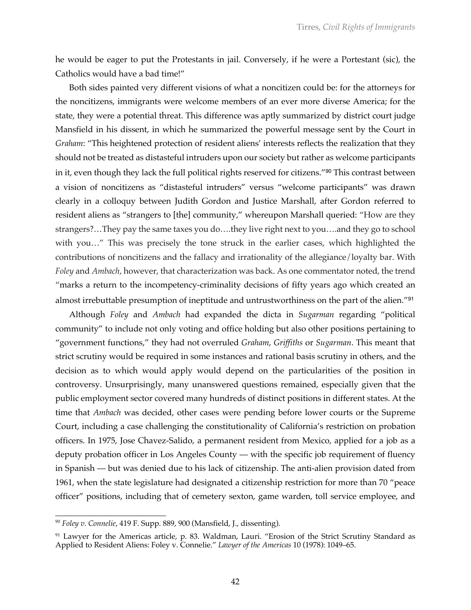he would be eager to put the Protestants in jail. Conversely, if he were a Portestant (sic), the Catholics would have a bad time!"

Both sides painted very different visions of what a noncitizen could be: for the attorneys for the noncitizens, immigrants were welcome members of an ever more diverse America; for the state, they were a potential threat. This difference was aptly summarized by district court judge Mansfield in his dissent, in which he summarized the powerful message sent by the Court in *Graham*: "This heightened protection of resident aliens' interests reflects the realization that they should not be treated as distasteful intruders upon our society but rather as welcome participants in it, even though they lack the full political rights reserved for citizens."<sup>90</sup> This contrast between a vision of noncitizens as "distasteful intruders" versus "welcome participants" was drawn clearly in a colloquy between Judith Gordon and Justice Marshall, after Gordon referred to resident aliens as "strangers to [the] community," whereupon Marshall queried: "How are they strangers?…They pay the same taxes you do….they live right next to you….and they go to school with you…" This was precisely the tone struck in the earlier cases, which highlighted the contributions of noncitizens and the fallacy and irrationality of the allegiance/loyalty bar. With *Foley* and *Ambach*, however, that characterization was back. As one commentator noted, the trend "marks a return to the incompetency-criminality decisions of fifty years ago which created an almost irrebuttable presumption of ineptitude and untrustworthiness on the part of the alien."<sup>91</sup>

Although *Foley* and *Ambach* had expanded the dicta in *Sugarman* regarding "political community" to include not only voting and office holding but also other positions pertaining to "government functions," they had not overruled *Graham*, *Griffiths* or *Sugarman*. This meant that strict scrutiny would be required in some instances and rational basis scrutiny in others, and the decision as to which would apply would depend on the particularities of the position in controversy. Unsurprisingly, many unanswered questions remained, especially given that the public employment sector covered many hundreds of distinct positions in different states. At the time that *Ambach* was decided, other cases were pending before lower courts or the Supreme Court, including a case challenging the constitutionality of California's restriction on probation officers. In 1975, Jose Chavez-Salido, a permanent resident from Mexico, applied for a job as a deputy probation officer in Los Angeles County — with the specific job requirement of fluency in Spanish — but was denied due to his lack of citizenship. The anti-alien provision dated from 1961, when the state legislature had designated a citizenship restriction for more than 70 "peace officer" positions, including that of cemetery sexton, game warden, toll service employee, and

<sup>90</sup> *Foley v. Connelie*, 419 F. Supp. 889, 900 (Mansfield, J., dissenting).

<sup>&</sup>lt;sup>91</sup> Lawyer for the Americas article, p. 83. Waldman, Lauri. "Erosion of the Strict Scrutiny Standard as Applied to Resident Aliens: Foley v. Connelie." *Lawyer of the Americas* 10 (1978): 1049–65.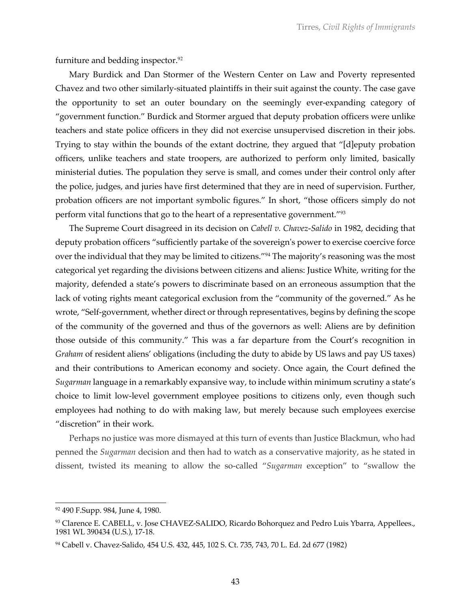furniture and bedding inspector.<sup>92</sup>

Mary Burdick and Dan Stormer of the Western Center on Law and Poverty represented Chavez and two other similarly-situated plaintiffs in their suit against the county. The case gave the opportunity to set an outer boundary on the seemingly ever-expanding category of "government function." Burdick and Stormer argued that deputy probation officers were unlike teachers and state police officers in they did not exercise unsupervised discretion in their jobs. Trying to stay within the bounds of the extant doctrine, they argued that "[d]eputy probation officers, unlike teachers and state troopers, are authorized to perform only limited, basically ministerial duties. The population they serve is small, and comes under their control only after the police, judges, and juries have first determined that they are in need of supervision. Further, probation officers are not important symbolic figures." In short, "those officers simply do not perform vital functions that go to the heart of a representative government."93

The Supreme Court disagreed in its decision on *Cabell v. Chavez-Salido* in 1982, deciding that deputy probation officers "sufficiently partake of the sovereign's power to exercise coercive force over the individual that they may be limited to citizens."94 The majority's reasoning was the most categorical yet regarding the divisions between citizens and aliens: Justice White, writing for the majority, defended a state's powers to discriminate based on an erroneous assumption that the lack of voting rights meant categorical exclusion from the "community of the governed." As he wrote, "Self-government, whether direct or through representatives, begins by defining the scope of the community of the governed and thus of the governors as well: Aliens are by definition those outside of this community." This was a far departure from the Court's recognition in *Graham* of resident aliens' obligations (including the duty to abide by US laws and pay US taxes) and their contributions to American economy and society. Once again, the Court defined the *Sugarman* language in a remarkably expansive way, to include within minimum scrutiny a state's choice to limit low-level government employee positions to citizens only, even though such employees had nothing to do with making law, but merely because such employees exercise "discretion" in their work.

Perhaps no justice was more dismayed at this turn of events than Justice Blackmun, who had penned the *Sugarman* decision and then had to watch as a conservative majority, as he stated in dissent, twisted its meaning to allow the so-called "*Sugarman* exception" to "swallow the

<sup>&</sup>lt;sup>92</sup> 490 F.Supp. 984, June 4, 1980.

<sup>93</sup> Clarence E. CABELL, v. Jose CHAVEZ-SALIDO, Ricardo Bohorquez and Pedro Luis Ybarra, Appellees., 1981 WL 390434 (U.S.), 17-18.

<sup>94</sup> Cabell v. Chavez-Salido, 454 U.S. 432, 445, 102 S. Ct. 735, 743, 70 L. Ed. 2d 677 (1982)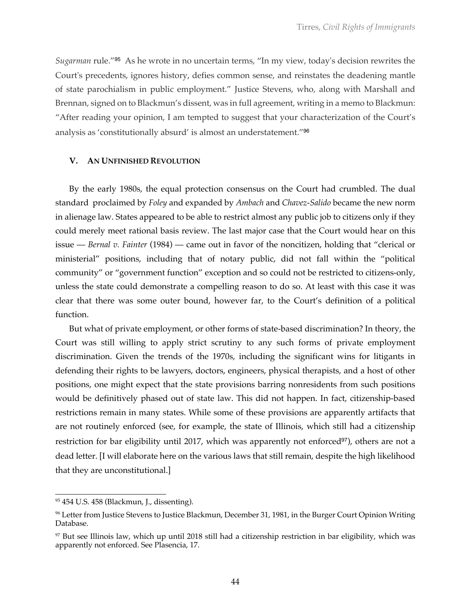*Sugarman* rule."<sup>95</sup> As he wrote in no uncertain terms, "In my view, today's decision rewrites the Court's precedents, ignores history, defies common sense, and reinstates the deadening mantle of state parochialism in public employment." Justice Stevens, who, along with Marshall and Brennan, signed on to Blackmun's dissent, was in full agreement, writing in a memo to Blackmun: "After reading your opinion, I am tempted to suggest that your characterization of the Court's analysis as 'constitutionally absurd' is almost an understatement."<sup>96</sup>

### **V. AN UNFINISHED REVOLUTION**

By the early 1980s, the equal protection consensus on the Court had crumbled. The dual standard proclaimed by *Foley* and expanded by *Ambach* and *Chavez-Salido* became the new norm in alienage law. States appeared to be able to restrict almost any public job to citizens only if they could merely meet rational basis review. The last major case that the Court would hear on this issue — *Bernal v. Fainter* (1984) — came out in favor of the noncitizen, holding that "clerical or ministerial" positions, including that of notary public, did not fall within the "political community" or "government function" exception and so could not be restricted to citizens-only, unless the state could demonstrate a compelling reason to do so. At least with this case it was clear that there was some outer bound, however far, to the Court's definition of a political function.

But what of private employment, or other forms of state-based discrimination? In theory, the Court was still willing to apply strict scrutiny to any such forms of private employment discrimination. Given the trends of the 1970s, including the significant wins for litigants in defending their rights to be lawyers, doctors, engineers, physical therapists, and a host of other positions, one might expect that the state provisions barring nonresidents from such positions would be definitively phased out of state law. This did not happen. In fact, citizenship-based restrictions remain in many states. While some of these provisions are apparently artifacts that are not routinely enforced (see, for example, the state of Illinois, which still had a citizenship restriction for bar eligibility until 2017, which was apparently not enforced $\frac{97}{7}$ , others are not a dead letter. [I will elaborate here on the various laws that still remain, despite the high likelihood that they are unconstitutional.]

<sup>95</sup> 454 U.S. 458 (Blackmun, J., dissenting).

<sup>96</sup> Letter from Justice Stevens to Justice Blackmun, December 31, 1981, in the Burger Court Opinion Writing Database.

 $97$  But see Illinois law, which up until 2018 still had a citizenship restriction in bar eligibility, which was apparently not enforced. See Plasencia, 17.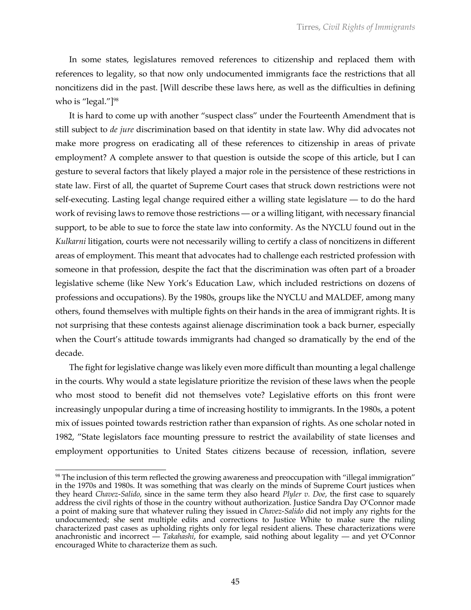In some states, legislatures removed references to citizenship and replaced them with references to legality, so that now only undocumented immigrants face the restrictions that all noncitizens did in the past. [Will describe these laws here, as well as the difficulties in defining who is "legal." $]$ <sup>98</sup>

It is hard to come up with another "suspect class" under the Fourteenth Amendment that is still subject to *de jure* discrimination based on that identity in state law. Why did advocates not make more progress on eradicating all of these references to citizenship in areas of private employment? A complete answer to that question is outside the scope of this article, but I can gesture to several factors that likely played a major role in the persistence of these restrictions in state law. First of all, the quartet of Supreme Court cases that struck down restrictions were not self-executing. Lasting legal change required either a willing state legislature — to do the hard work of revising laws to remove those restrictions — or a willing litigant, with necessary financial support, to be able to sue to force the state law into conformity. As the NYCLU found out in the *Kulkarni* litigation, courts were not necessarily willing to certify a class of noncitizens in different areas of employment. This meant that advocates had to challenge each restricted profession with someone in that profession, despite the fact that the discrimination was often part of a broader legislative scheme (like New York's Education Law, which included restrictions on dozens of professions and occupations). By the 1980s, groups like the NYCLU and MALDEF, among many others, found themselves with multiple fights on their hands in the area of immigrant rights. It is not surprising that these contests against alienage discrimination took a back burner, especially when the Court's attitude towards immigrants had changed so dramatically by the end of the decade.

The fight for legislative change was likely even more difficult than mounting a legal challenge in the courts. Why would a state legislature prioritize the revision of these laws when the people who most stood to benefit did not themselves vote? Legislative efforts on this front were increasingly unpopular during a time of increasing hostility to immigrants. In the 1980s, a potent mix of issues pointed towards restriction rather than expansion of rights. As one scholar noted in 1982, "State legislators face mounting pressure to restrict the availability of state licenses and employment opportunities to United States citizens because of recession, inflation, severe

<sup>98</sup> The inclusion of this term reflected the growing awareness and preoccupation with "illegal immigration" in the 1970s and 1980s. It was something that was clearly on the minds of Supreme Court justices when they heard *Chavez-Salido*, since in the same term they also heard *Plyler v. Doe*, the first case to squarely address the civil rights of those in the country without authorization. Justice Sandra Day O'Connor made a point of making sure that whatever ruling they issued in *Chavez-Salido* did not imply any rights for the undocumented; she sent multiple edits and corrections to Justice White to make sure the ruling characterized past cases as upholding rights only for legal resident aliens. These characterizations were anachronistic and incorrect — *Takahashi*, for example, said nothing about legality — and yet O'Connor encouraged White to characterize them as such.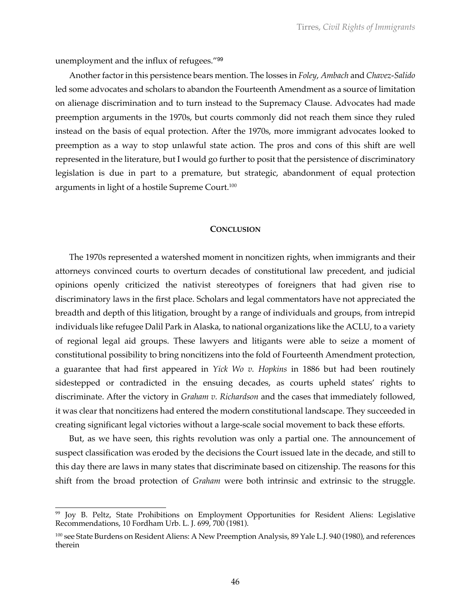unemployment and the influx of refugees."<sup>99</sup>

Another factor in this persistence bears mention. The losses in *Foley*, *Ambach* and *Chavez-Salido* led some advocates and scholars to abandon the Fourteenth Amendment as a source of limitation on alienage discrimination and to turn instead to the Supremacy Clause. Advocates had made preemption arguments in the 1970s, but courts commonly did not reach them since they ruled instead on the basis of equal protection. After the 1970s, more immigrant advocates looked to preemption as a way to stop unlawful state action. The pros and cons of this shift are well represented in the literature, but I would go further to posit that the persistence of discriminatory legislation is due in part to a premature, but strategic, abandonment of equal protection arguments in light of a hostile Supreme Court.100

#### **CONCLUSION**

The 1970s represented a watershed moment in noncitizen rights, when immigrants and their attorneys convinced courts to overturn decades of constitutional law precedent, and judicial opinions openly criticized the nativist stereotypes of foreigners that had given rise to discriminatory laws in the first place. Scholars and legal commentators have not appreciated the breadth and depth of this litigation, brought by a range of individuals and groups, from intrepid individuals like refugee Dalil Park in Alaska, to national organizations like the ACLU, to a variety of regional legal aid groups. These lawyers and litigants were able to seize a moment of constitutional possibility to bring noncitizens into the fold of Fourteenth Amendment protection, a guarantee that had first appeared in *Yick Wo v. Hopkins* in 1886 but had been routinely sidestepped or contradicted in the ensuing decades, as courts upheld states' rights to discriminate. After the victory in *Graham v. Richardson* and the cases that immediately followed, it was clear that noncitizens had entered the modern constitutional landscape. They succeeded in creating significant legal victories without a large-scale social movement to back these efforts.

But, as we have seen, this rights revolution was only a partial one. The announcement of suspect classification was eroded by the decisions the Court issued late in the decade, and still to this day there are laws in many states that discriminate based on citizenship. The reasons for this shift from the broad protection of *Graham* were both intrinsic and extrinsic to the struggle.

<sup>&</sup>lt;sup>99</sup> Joy B. Peltz, State Prohibitions on Employment Opportunities for Resident Aliens: Legislative Recommendations, 10 Fordham Urb. L. J. 699, 700 (1981).

<sup>&</sup>lt;sup>100</sup> see State Burdens on Resident Aliens: A New Preemption Analysis, 89 Yale L.J. 940 (1980), and references therein